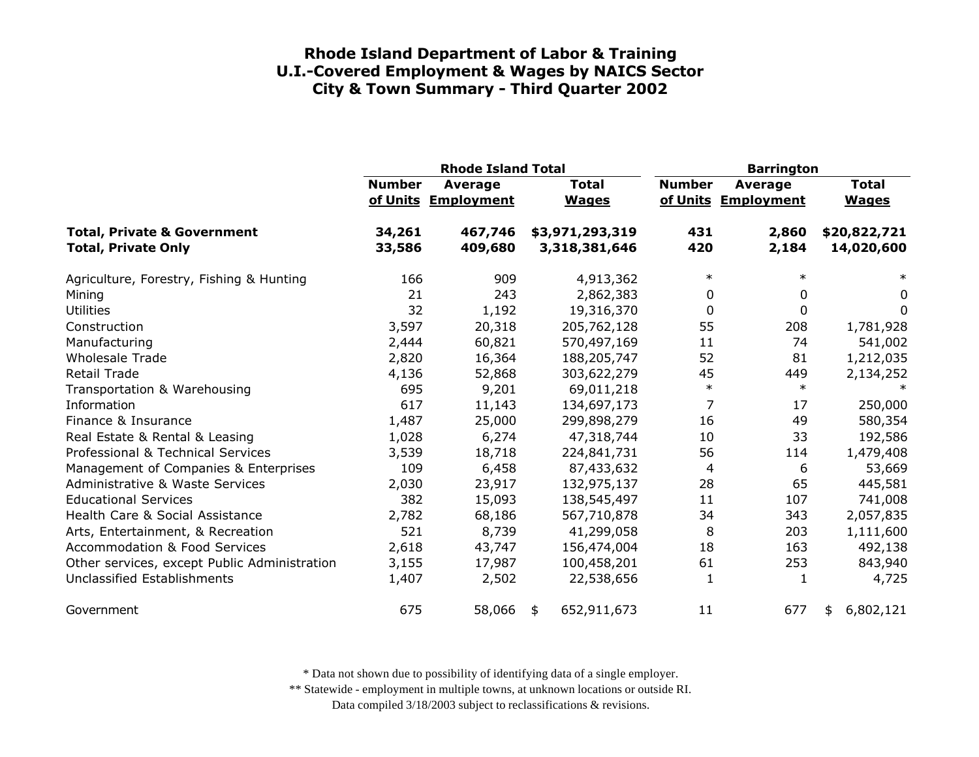|                                                                      |                  | <b>Rhode Island Total</b>             |                                  | <b>Barrington</b> |                                       |                              |
|----------------------------------------------------------------------|------------------|---------------------------------------|----------------------------------|-------------------|---------------------------------------|------------------------------|
|                                                                      | <b>Number</b>    | <b>Average</b><br>of Units Employment | <b>Total</b><br><b>Wages</b>     | <b>Number</b>     | <b>Average</b><br>of Units Employment | <b>Total</b><br><b>Wages</b> |
| <b>Total, Private &amp; Government</b><br><b>Total, Private Only</b> | 34,261<br>33,586 | 467,746<br>409,680                    | \$3,971,293,319<br>3,318,381,646 | 431<br>420        | 2,860<br>2,184                        | \$20,822,721<br>14,020,600   |
| Agriculture, Forestry, Fishing & Hunting                             | 166              | 909                                   | 4,913,362                        | $\ast$            | $\ast$                                | $\ast$                       |
| Mining                                                               | 21               | 243                                   | 2,862,383                        | 0                 | 0                                     | 0                            |
| <b>Utilities</b>                                                     | 32               | 1,192                                 | 19,316,370                       | 0                 | 0                                     | 0                            |
| Construction                                                         | 3,597            | 20,318                                | 205,762,128                      | 55                | 208                                   | 1,781,928                    |
| Manufacturing                                                        | 2,444            | 60,821                                | 570,497,169                      | 11                | 74                                    | 541,002                      |
| <b>Wholesale Trade</b>                                               | 2,820            | 16,364                                | 188,205,747                      | 52                | 81                                    | 1,212,035                    |
| <b>Retail Trade</b>                                                  | 4,136            | 52,868                                | 303,622,279                      | 45                | 449                                   | 2,134,252                    |
| Transportation & Warehousing                                         | 695              | 9,201                                 | 69,011,218                       | $\ast$            | $\ast$                                |                              |
| Information                                                          | 617              | 11,143                                | 134,697,173                      | 7                 | 17                                    | 250,000                      |
| Finance & Insurance                                                  | 1,487            | 25,000                                | 299,898,279                      | 16                | 49                                    | 580,354                      |
| Real Estate & Rental & Leasing                                       | 1,028            | 6,274                                 | 47,318,744                       | 10                | 33                                    | 192,586                      |
| Professional & Technical Services                                    | 3,539            | 18,718                                | 224,841,731                      | 56                | 114                                   | 1,479,408                    |
| Management of Companies & Enterprises                                | 109              | 6,458                                 | 87,433,632                       | 4                 | 6                                     | 53,669                       |
| <b>Administrative &amp; Waste Services</b>                           | 2,030            | 23,917                                | 132,975,137                      | 28                | 65                                    | 445,581                      |
| <b>Educational Services</b>                                          | 382              | 15,093                                | 138,545,497                      | 11                | 107                                   | 741,008                      |
| Health Care & Social Assistance                                      | 2,782            | 68,186                                | 567,710,878                      | 34                | 343                                   | 2,057,835                    |
| Arts, Entertainment, & Recreation                                    | 521              | 8,739                                 | 41,299,058                       | 8                 | 203                                   | 1,111,600                    |
| <b>Accommodation &amp; Food Services</b>                             | 2,618            | 43,747                                | 156,474,004                      | 18                | 163                                   | 492,138                      |
| Other services, except Public Administration                         | 3,155            | 17,987                                | 100,458,201                      | 61                | 253                                   | 843,940                      |
| Unclassified Establishments                                          | 1,407            | 2,502                                 | 22,538,656                       | 1                 | 1                                     | 4,725                        |
| Government                                                           | 675              | 58,066                                | 652,911,673<br>\$                | 11                | 677                                   | 6,802,121<br>\$              |

\* Data not shown due to possibility of identifying data of a single employer.

\*\* Statewide - employment in multiple towns, at unknown locations or outside RI.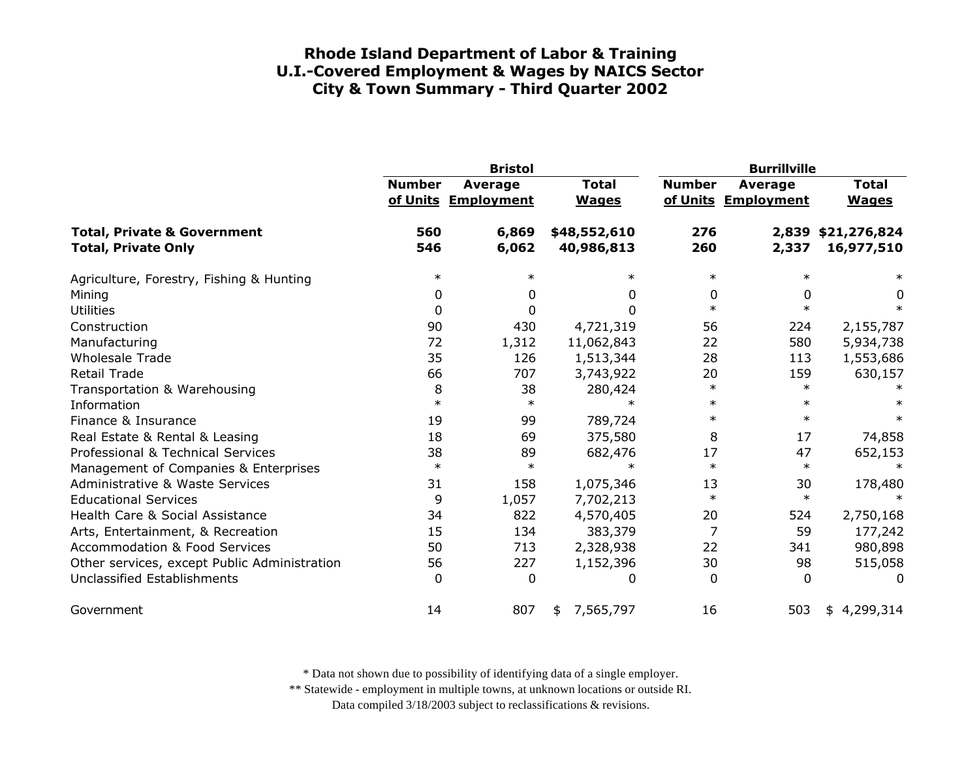|                                                                      | <b>Bristol</b> |                                |                              | <b>Burrillville</b> |                                       |                                  |
|----------------------------------------------------------------------|----------------|--------------------------------|------------------------------|---------------------|---------------------------------------|----------------------------------|
|                                                                      | <b>Number</b>  | Average<br>of Units Employment | <b>Total</b><br><b>Wages</b> | <b>Number</b>       | <b>Average</b><br>of Units Employment | <b>Total</b><br><b>Wages</b>     |
| <b>Total, Private &amp; Government</b><br><b>Total, Private Only</b> | 560<br>546     | 6,869<br>6,062                 | \$48,552,610<br>40,986,813   | 276<br>260          | 2,337                                 | 2,839 \$21,276,824<br>16,977,510 |
| Agriculture, Forestry, Fishing & Hunting                             | $\ast$         | $\ast$                         | $\ast$                       | $\ast$              | $\ast$                                | $\ast$                           |
| Mining                                                               | 0              | 0                              | 0                            | 0                   | 0                                     | 0                                |
| <b>Utilities</b>                                                     | 0              | $\Omega$                       | 0                            | $\ast$              | $\ast$                                | $\ast$                           |
| Construction                                                         | 90             | 430                            | 4,721,319                    | 56                  | 224                                   | 2,155,787                        |
| Manufacturing                                                        | 72             | 1,312                          | 11,062,843                   | 22                  | 580                                   | 5,934,738                        |
| <b>Wholesale Trade</b>                                               | 35             | 126                            | 1,513,344                    | 28                  | 113                                   | 1,553,686                        |
| <b>Retail Trade</b>                                                  | 66             | 707                            | 3,743,922                    | 20                  | 159                                   | 630,157                          |
| Transportation & Warehousing                                         | 8              | 38                             | 280,424                      | $\ast$              | $\ast$                                |                                  |
| Information                                                          | $\ast$         | $\ast$                         | $\ast$                       | $\ast$              | $\ast$                                |                                  |
| Finance & Insurance                                                  | 19             | 99                             | 789,724                      | $\ast$              | $\ast$                                | $\ast$                           |
| Real Estate & Rental & Leasing                                       | 18             | 69                             | 375,580                      | 8                   | 17                                    | 74,858                           |
| Professional & Technical Services                                    | 38             | 89                             | 682,476                      | 17                  | 47                                    | 652,153                          |
| Management of Companies & Enterprises                                | $\ast$         | $\ast$                         | $\ast$                       | $\ast$              | $\ast$                                | $\ast$                           |
| <b>Administrative &amp; Waste Services</b>                           | 31             | 158                            | 1,075,346                    | 13                  | 30                                    | 178,480                          |
| <b>Educational Services</b>                                          | 9              | 1,057                          | 7,702,213                    | $\ast$              | $\ast$                                |                                  |
| Health Care & Social Assistance                                      | 34             | 822                            | 4,570,405                    | 20                  | 524                                   | 2,750,168                        |
| Arts, Entertainment, & Recreation                                    | 15             | 134                            | 383,379                      | 7                   | 59                                    | 177,242                          |
| <b>Accommodation &amp; Food Services</b>                             | 50             | 713                            | 2,328,938                    | 22                  | 341                                   | 980,898                          |
| Other services, except Public Administration                         | 56             | 227                            | 1,152,396                    | 30                  | 98                                    | 515,058                          |
| Unclassified Establishments                                          | 0              | $\mathbf{0}$                   | 0                            | $\Omega$            | $\Omega$                              | 0                                |
| Government                                                           | 14             | 807                            | 7,565,797<br>\$              | 16                  | 503                                   | 4,299,314<br>\$                  |

\* Data not shown due to possibility of identifying data of a single employer.

\*\* Statewide - employment in multiple towns, at unknown locations or outside RI.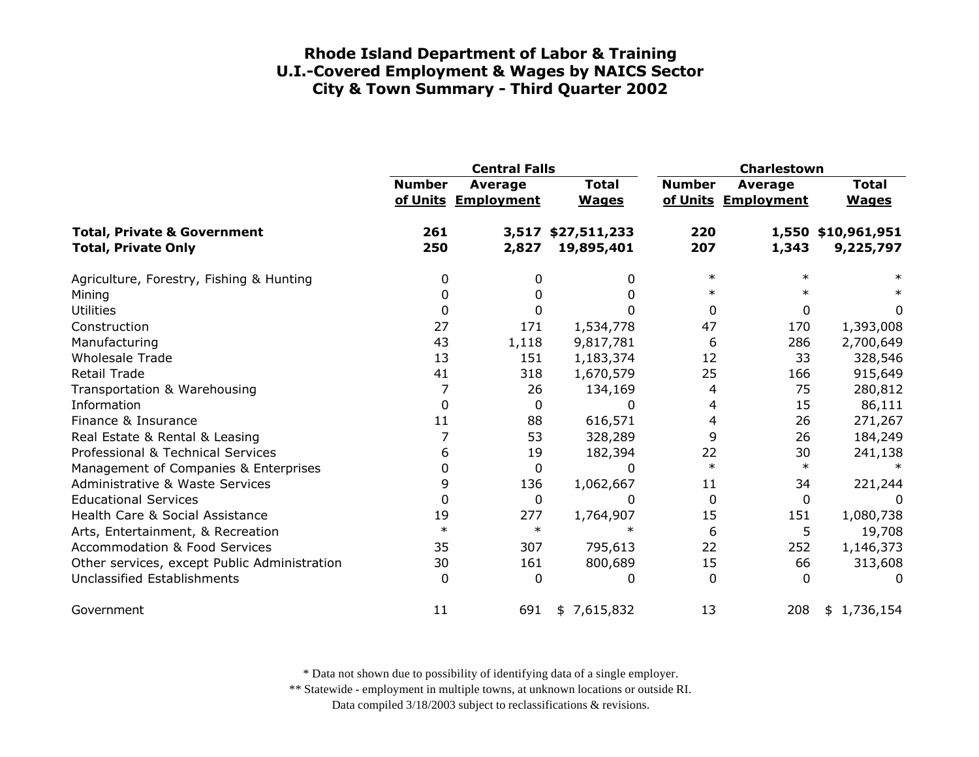|                                                                      | <b>Central Falls</b> |                                |                                  | Charlestown   |                                |                                 |
|----------------------------------------------------------------------|----------------------|--------------------------------|----------------------------------|---------------|--------------------------------|---------------------------------|
|                                                                      | <b>Number</b>        | Average<br>of Units Employment | <b>Total</b><br><b>Wages</b>     | <b>Number</b> | Average<br>of Units Employment | <b>Total</b><br><b>Wages</b>    |
| <b>Total, Private &amp; Government</b><br><b>Total, Private Only</b> | 261<br>250           | 2,827                          | 3,517 \$27,511,233<br>19,895,401 | 220<br>207    | 1,343                          | 1,550 \$10,961,951<br>9,225,797 |
| Agriculture, Forestry, Fishing & Hunting                             | 0                    | 0                              | 0                                | $\ast$        | $\ast$                         |                                 |
| Mining                                                               |                      |                                | 0                                | ∗             |                                |                                 |
| <b>Utilities</b>                                                     | 0                    | 0                              |                                  | 0             | 0                              | 0                               |
| Construction                                                         | 27                   | 171                            | 1,534,778                        | 47            | 170                            | 1,393,008                       |
| Manufacturing                                                        | 43                   | 1,118                          | 9,817,781                        | 6             | 286                            | 2,700,649                       |
| <b>Wholesale Trade</b>                                               | 13                   | 151                            | 1,183,374                        | 12            | 33                             | 328,546                         |
| <b>Retail Trade</b>                                                  | 41                   | 318                            | 1,670,579                        | 25            | 166                            | 915,649                         |
| Transportation & Warehousing                                         |                      | 26                             | 134,169                          | 4             | 75                             | 280,812                         |
| Information                                                          | $\Omega$             | $\mathbf{0}$                   | 0                                | 4             | 15                             | 86,111                          |
| Finance & Insurance                                                  | 11                   | 88                             | 616,571                          | 4             | 26                             | 271,267                         |
| Real Estate & Rental & Leasing                                       |                      | 53                             | 328,289                          | 9             | 26                             | 184,249                         |
| Professional & Technical Services                                    | 6                    | 19                             | 182,394                          | 22            | 30                             | 241,138                         |
| Management of Companies & Enterprises                                | 0                    | $\mathbf 0$                    | 0                                | $\ast$        | $\ast$                         |                                 |
| <b>Administrative &amp; Waste Services</b>                           | 9                    | 136                            | 1,062,667                        | 11            | 34                             | 221,244                         |
| <b>Educational Services</b>                                          | 0                    | $\mathbf 0$                    | 0                                | 0             | 0                              | 0                               |
| Health Care & Social Assistance                                      | 19                   | 277                            | 1,764,907                        | 15            | 151                            | 1,080,738                       |
| Arts, Entertainment, & Recreation                                    | $\ast$               | $\ast$                         | $\ast$                           | 6             | 5                              | 19,708                          |
| <b>Accommodation &amp; Food Services</b>                             | 35                   | 307                            | 795,613                          | 22            | 252                            | 1,146,373                       |
| Other services, except Public Administration                         | 30                   | 161                            | 800,689                          | 15            | 66                             | 313,608                         |
| Unclassified Establishments                                          | $\Omega$             | $\Omega$                       | 0                                | $\Omega$      | $\Omega$                       | O                               |
| Government                                                           | 11                   | 691                            | \$7,615,832                      | 13            | 208                            | 1,736,154<br>\$                 |

\* Data not shown due to possibility of identifying data of a single employer.

\*\* Statewide - employment in multiple towns, at unknown locations or outside RI.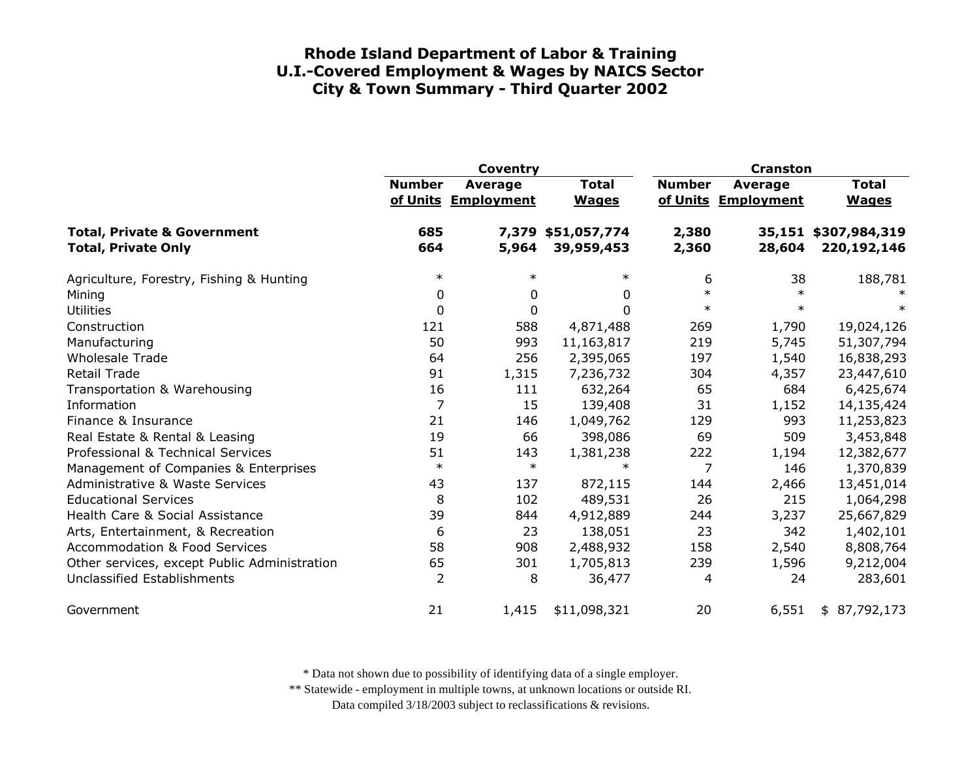|                                              | <b>Coventry</b> |                     |              | <b>Cranston</b> |                     |                      |
|----------------------------------------------|-----------------|---------------------|--------------|-----------------|---------------------|----------------------|
|                                              | <b>Number</b>   | Average             | <b>Total</b> | <b>Number</b>   | Average             | <b>Total</b>         |
|                                              |                 | of Units Employment | <b>Wages</b> |                 | of Units Employment | <b>Wages</b>         |
| <b>Total, Private &amp; Government</b>       | 685             | 7,379               | \$51,057,774 | 2,380           |                     | 35,151 \$307,984,319 |
| <b>Total, Private Only</b>                   | 664             | 5,964               | 39,959,453   | 2,360           | 28,604              | 220, 192, 146        |
| Agriculture, Forestry, Fishing & Hunting     | $\ast$          | $\ast$              | $\ast$       | 6               | 38                  | 188,781              |
| Mining                                       | 0               | 0                   | 0            | $\ast$          | $\ast$              |                      |
| <b>Utilities</b>                             | 0               | 0                   | $\Omega$     | $\ast$          | $\ast$              | $\ast$               |
| Construction                                 | 121             | 588                 | 4,871,488    | 269             | 1,790               | 19,024,126           |
| Manufacturing                                | 50              | 993                 | 11,163,817   | 219             | 5,745               | 51,307,794           |
| <b>Wholesale Trade</b>                       | 64              | 256                 | 2,395,065    | 197             | 1,540               | 16,838,293           |
| <b>Retail Trade</b>                          | 91              | 1,315               | 7,236,732    | 304             | 4,357               | 23,447,610           |
| Transportation & Warehousing                 | 16              | 111                 | 632,264      | 65              | 684                 | 6,425,674            |
| Information                                  | 7               | 15                  | 139,408      | 31              | 1,152               | 14,135,424           |
| Finance & Insurance                          | 21              | 146                 | 1,049,762    | 129             | 993                 | 11,253,823           |
| Real Estate & Rental & Leasing               | 19              | 66                  | 398,086      | 69              | 509                 | 3,453,848            |
| Professional & Technical Services            | 51              | 143                 | 1,381,238    | 222             | 1,194               | 12,382,677           |
| Management of Companies & Enterprises        | $\ast$          | $\ast$              | $\ast$       | 7               | 146                 | 1,370,839            |
| <b>Administrative &amp; Waste Services</b>   | 43              | 137                 | 872,115      | 144             | 2,466               | 13,451,014           |
| <b>Educational Services</b>                  | 8               | 102                 | 489,531      | 26              | 215                 | 1,064,298            |
| Health Care & Social Assistance              | 39              | 844                 | 4,912,889    | 244             | 3,237               | 25,667,829           |
| Arts, Entertainment, & Recreation            | 6               | 23                  | 138,051      | 23              | 342                 | 1,402,101            |
| <b>Accommodation &amp; Food Services</b>     | 58              | 908                 | 2,488,932    | 158             | 2,540               | 8,808,764            |
| Other services, except Public Administration | 65              | 301                 | 1,705,813    | 239             | 1,596               | 9,212,004            |
| Unclassified Establishments                  | $\overline{2}$  | 8                   | 36,477       | 4               | 24                  | 283,601              |
| Government                                   | 21              | 1,415               | \$11,098,321 | 20              | 6,551               | 87,792,173<br>\$     |

\* Data not shown due to possibility of identifying data of a single employer.

\*\* Statewide - employment in multiple towns, at unknown locations or outside RI.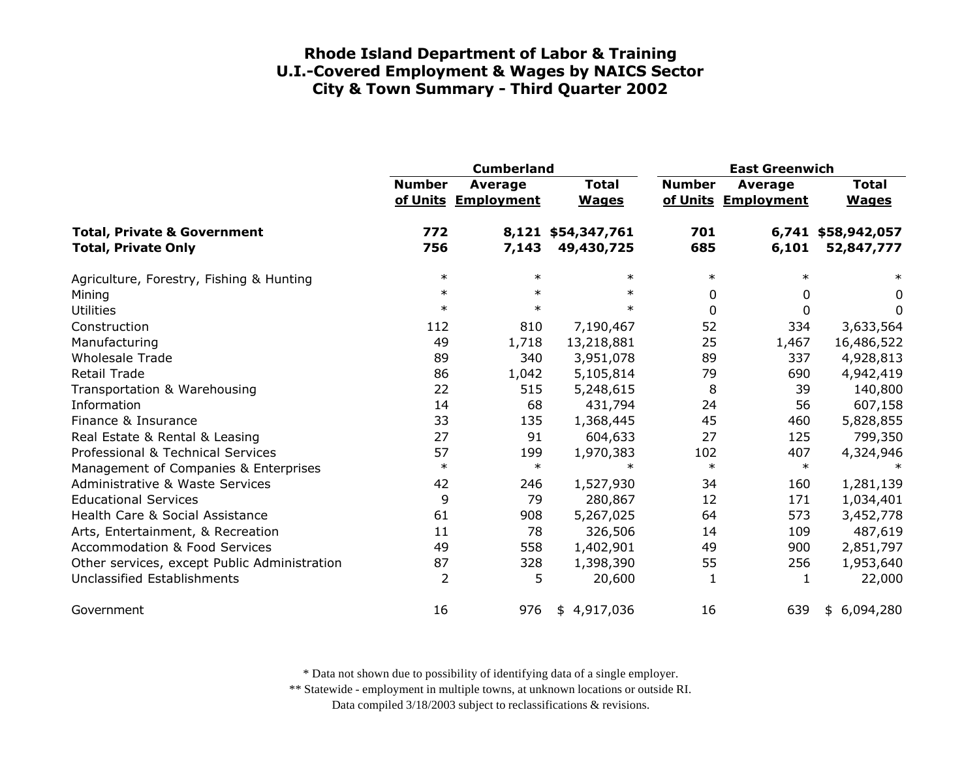|                                                                      |                | <b>Cumberland</b>                     |                                  | <b>East Greenwich</b> |                                |                                  |
|----------------------------------------------------------------------|----------------|---------------------------------------|----------------------------------|-----------------------|--------------------------------|----------------------------------|
|                                                                      | <b>Number</b>  | <b>Average</b><br>of Units Employment | <b>Total</b><br><b>Wages</b>     | <b>Number</b>         | Average<br>of Units Employment | <b>Total</b><br><b>Wages</b>     |
| <b>Total, Private &amp; Government</b><br><b>Total, Private Only</b> | 772<br>756     | 7,143                                 | 8,121 \$54,347,761<br>49,430,725 | 701<br>685            | 6,101                          | 6,741 \$58,942,057<br>52,847,777 |
|                                                                      |                |                                       |                                  |                       |                                |                                  |
| Agriculture, Forestry, Fishing & Hunting                             | $\ast$         | $\ast$                                | $\ast$                           | $\ast$                | $\ast$                         | ∗                                |
| Mining                                                               | $\ast$         | $\ast$                                | $\ast$                           | 0                     | 0                              | 0                                |
| <b>Utilities</b>                                                     | $\ast$         | $\ast$                                | $\ast$                           | $\overline{0}$        | $\mathbf{0}$                   | 0                                |
| Construction                                                         | 112            | 810                                   | 7,190,467                        | 52                    | 334                            | 3,633,564                        |
| Manufacturing                                                        | 49             | 1,718                                 | 13,218,881                       | 25                    | 1,467                          | 16,486,522                       |
| <b>Wholesale Trade</b>                                               | 89             | 340                                   | 3,951,078                        | 89                    | 337                            | 4,928,813                        |
| Retail Trade                                                         | 86             | 1,042                                 | 5,105,814                        | 79                    | 690                            | 4,942,419                        |
| Transportation & Warehousing                                         | 22             | 515                                   | 5,248,615                        | 8                     | 39                             | 140,800                          |
| Information                                                          | 14             | 68                                    | 431,794                          | 24                    | 56                             | 607,158                          |
| Finance & Insurance                                                  | 33             | 135                                   | 1,368,445                        | 45                    | 460                            | 5,828,855                        |
| Real Estate & Rental & Leasing                                       | 27             | 91                                    | 604,633                          | 27                    | 125                            | 799,350                          |
| Professional & Technical Services                                    | 57             | 199                                   | 1,970,383                        | 102                   | 407                            | 4,324,946                        |
| Management of Companies & Enterprises                                | $\ast$         | $\ast$                                | $\ast$                           | $\ast$                | $\ast$                         |                                  |
| <b>Administrative &amp; Waste Services</b>                           | 42             | 246                                   | 1,527,930                        | 34                    | 160                            | 1,281,139                        |
| <b>Educational Services</b>                                          | 9              | 79                                    | 280,867                          | 12                    | 171                            | 1,034,401                        |
| Health Care & Social Assistance                                      | 61             | 908                                   | 5,267,025                        | 64                    | 573                            | 3,452,778                        |
| Arts, Entertainment, & Recreation                                    | 11             | 78                                    | 326,506                          | 14                    | 109                            | 487,619                          |
| <b>Accommodation &amp; Food Services</b>                             | 49             | 558                                   | 1,402,901                        | 49                    | 900                            | 2,851,797                        |
| Other services, except Public Administration                         | 87             | 328                                   | 1,398,390                        | 55                    | 256                            | 1,953,640                        |
| Unclassified Establishments                                          | $\overline{2}$ | 5                                     | 20,600                           | 1                     | 1                              | 22,000                           |
| Government                                                           | 16             | 976                                   | 4,917,036<br>\$                  | 16                    | 639                            | 6,094,280<br>\$                  |

\* Data not shown due to possibility of identifying data of a single employer.

\*\* Statewide - employment in multiple towns, at unknown locations or outside RI.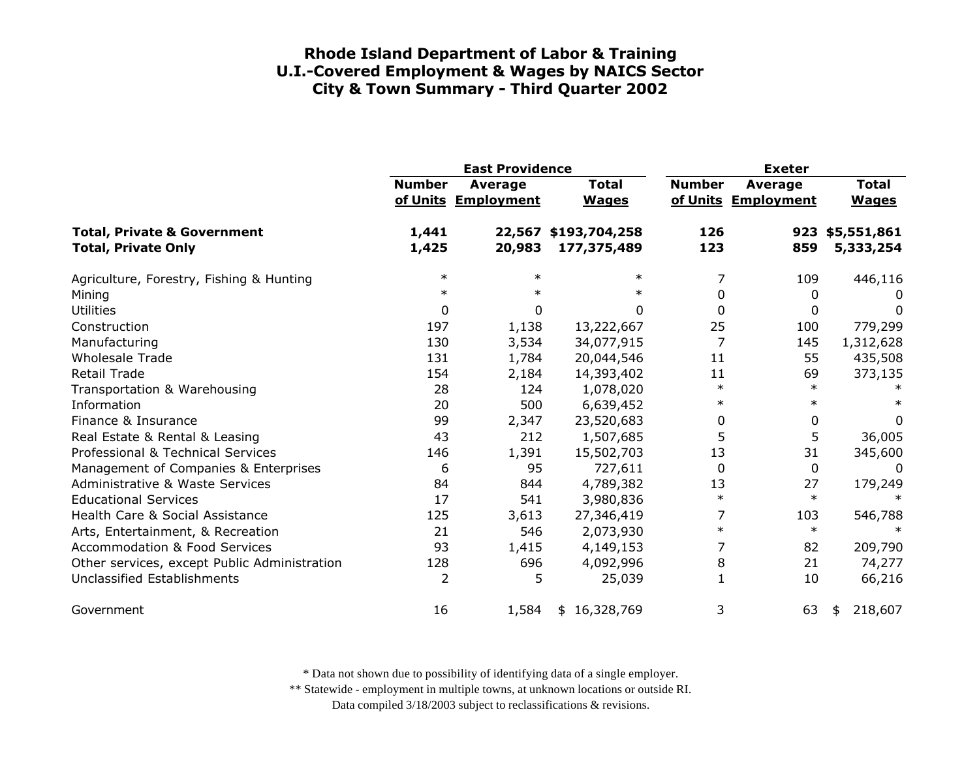|                                                                      | <b>East Providence</b> |                                       |                                     | <b>Exeter</b>  |                                |                              |
|----------------------------------------------------------------------|------------------------|---------------------------------------|-------------------------------------|----------------|--------------------------------|------------------------------|
|                                                                      | <b>Number</b>          | <b>Average</b><br>of Units Employment | <b>Total</b><br><b>Wages</b>        | <b>Number</b>  | Average<br>of Units Employment | <b>Total</b><br><b>Wages</b> |
| <b>Total, Private &amp; Government</b><br><b>Total, Private Only</b> | 1,441<br>1,425         | 20,983                                | 22,567 \$193,704,258<br>177,375,489 | 126<br>123     | 859                            | 923 \$5,551,861<br>5,333,254 |
| Agriculture, Forestry, Fishing & Hunting                             | $\ast$                 | $\ast$                                | $\ast$                              | 7              | 109                            | 446,116                      |
| Mining                                                               | $\ast$                 |                                       | $\ast$                              | 0              | 0                              | 0                            |
| <b>Utilities</b>                                                     | 0                      | 0                                     | 0                                   | 0              | 0                              | 0                            |
| Construction                                                         | 197                    | 1,138                                 | 13,222,667                          | 25             | 100                            | 779,299                      |
| Manufacturing                                                        | 130                    | 3,534                                 | 34,077,915                          | $\overline{7}$ | 145                            | 1,312,628                    |
| <b>Wholesale Trade</b>                                               | 131                    | 1,784                                 | 20,044,546                          | 11             | 55                             | 435,508                      |
| <b>Retail Trade</b>                                                  | 154                    | 2,184                                 | 14,393,402                          | 11             | 69                             | 373,135                      |
| Transportation & Warehousing                                         | 28                     | 124                                   | 1,078,020                           | $\ast$         | $\ast$                         |                              |
| Information                                                          | 20                     | 500                                   | 6,639,452                           | $\ast$         | $\ast$                         |                              |
| Finance & Insurance                                                  | 99                     | 2,347                                 | 23,520,683                          | 0              | 0                              | 0                            |
| Real Estate & Rental & Leasing                                       | 43                     | 212                                   | 1,507,685                           | 5              | 5                              | 36,005                       |
| Professional & Technical Services                                    | 146                    | 1,391                                 | 15,502,703                          | 13             | 31                             | 345,600                      |
| Management of Companies & Enterprises                                | 6                      | 95                                    | 727,611                             | 0              | 0                              | 0                            |
| <b>Administrative &amp; Waste Services</b>                           | 84                     | 844                                   | 4,789,382                           | 13             | 27                             | 179,249                      |
| <b>Educational Services</b>                                          | 17                     | 541                                   | 3,980,836                           | $\ast$         | $\ast$                         |                              |
| Health Care & Social Assistance                                      | 125                    | 3,613                                 | 27,346,419                          | 7              | 103                            | 546,788                      |
| Arts, Entertainment, & Recreation                                    | 21                     | 546                                   | 2,073,930                           | $\ast$         | $\ast$                         | $\ast$                       |
| <b>Accommodation &amp; Food Services</b>                             | 93                     | 1,415                                 | 4,149,153                           | 7              | 82                             | 209,790                      |
| Other services, except Public Administration                         | 128                    | 696                                   | 4,092,996                           | 8              | 21                             | 74,277                       |
| <b>Unclassified Establishments</b>                                   | 2                      | 5                                     | 25,039                              | $\mathbf{1}$   | 10                             | 66,216                       |
| Government                                                           | 16                     | 1,584                                 | \$16,328,769                        | 3              | 63                             | 218,607<br>\$                |

\* Data not shown due to possibility of identifying data of a single employer.

\*\* Statewide - employment in multiple towns, at unknown locations or outside RI.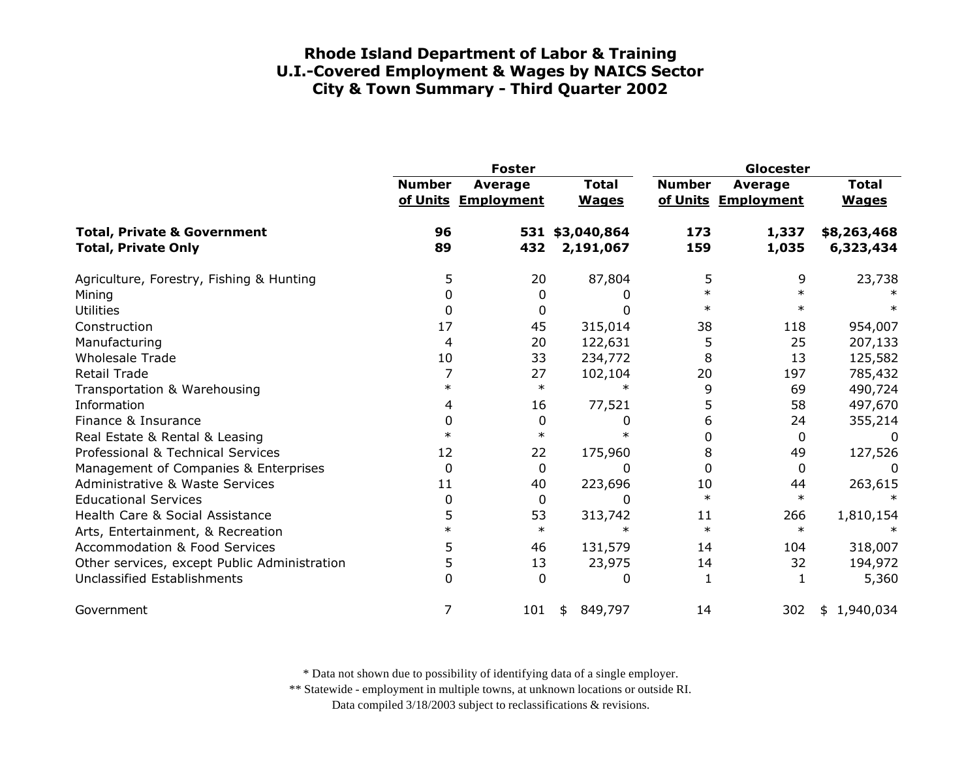|                                                                      | <b>Foster</b> |                                |                              | Glocester     |                                       |                              |
|----------------------------------------------------------------------|---------------|--------------------------------|------------------------------|---------------|---------------------------------------|------------------------------|
|                                                                      | <b>Number</b> | Average<br>of Units Employment | <b>Total</b><br><b>Wages</b> | <b>Number</b> | <b>Average</b><br>of Units Employment | <b>Total</b><br><b>Wages</b> |
| <b>Total, Private &amp; Government</b><br><b>Total, Private Only</b> | 96<br>89      | 432                            | 531 \$3,040,864<br>2,191,067 | 173<br>159    | 1,337<br>1,035                        | \$8,263,468<br>6,323,434     |
| Agriculture, Forestry, Fishing & Hunting                             | 5             | 20                             | 87,804                       | 5             | 9                                     | 23,738                       |
| Mining                                                               | 0             | 0                              |                              | $\ast$        |                                       |                              |
| <b>Utilities</b>                                                     | 0             | 0                              |                              | $\ast$        |                                       |                              |
| Construction                                                         | 17            | 45                             | 315,014                      | 38            | 118                                   | 954,007                      |
| Manufacturing                                                        | 4             | 20                             | 122,631                      | 5             | 25                                    | 207,133                      |
| <b>Wholesale Trade</b>                                               | 10            | 33                             | 234,772                      | 8             | 13                                    | 125,582                      |
| Retail Trade                                                         |               | 27                             | 102,104                      | 20            | 197                                   | 785,432                      |
| Transportation & Warehousing                                         | $\ast$        | $\ast$                         | $\ast$                       | 9             | 69                                    | 490,724                      |
| Information                                                          | 4             | 16                             | 77,521                       | 5             | 58                                    | 497,670                      |
| Finance & Insurance                                                  | 0             | $\boldsymbol{0}$               | 0                            | 6             | 24                                    | 355,214                      |
| Real Estate & Rental & Leasing                                       | $\ast$        | $\ast$                         |                              | 0             | $\Omega$                              | 0                            |
| Professional & Technical Services                                    | 12            | 22                             | 175,960                      | 8             | 49                                    | 127,526                      |
| Management of Companies & Enterprises                                | $\Omega$      | 0                              | <sup>0</sup>                 | $\Omega$      | $\mathbf{0}$                          | 0                            |
| Administrative & Waste Services                                      | 11            | 40                             | 223,696                      | 10            | 44                                    | 263,615                      |
| <b>Educational Services</b>                                          | 0             | 0                              | 0                            | $\ast$        | $\ast$                                |                              |
| Health Care & Social Assistance                                      | 5             | 53                             | 313,742                      | 11            | 266                                   | 1,810,154                    |
| Arts, Entertainment, & Recreation                                    | $\ast$        | $\ast$                         | $\ast$                       | $\ast$        | $\ast$                                |                              |
| <b>Accommodation &amp; Food Services</b>                             | 5             | 46                             | 131,579                      | 14            | 104                                   | 318,007                      |
| Other services, except Public Administration                         | 5             | 13                             | 23,975                       | 14            | 32                                    | 194,972                      |
| Unclassified Establishments                                          | O.            | $\Omega$                       | 0                            | 1             | 1                                     | 5,360                        |
| Government                                                           |               | 101                            | 849,797<br>\$                | 14            | 302                                   | 1,940,034<br>\$              |

\* Data not shown due to possibility of identifying data of a single employer.

\*\* Statewide - employment in multiple towns, at unknown locations or outside RI.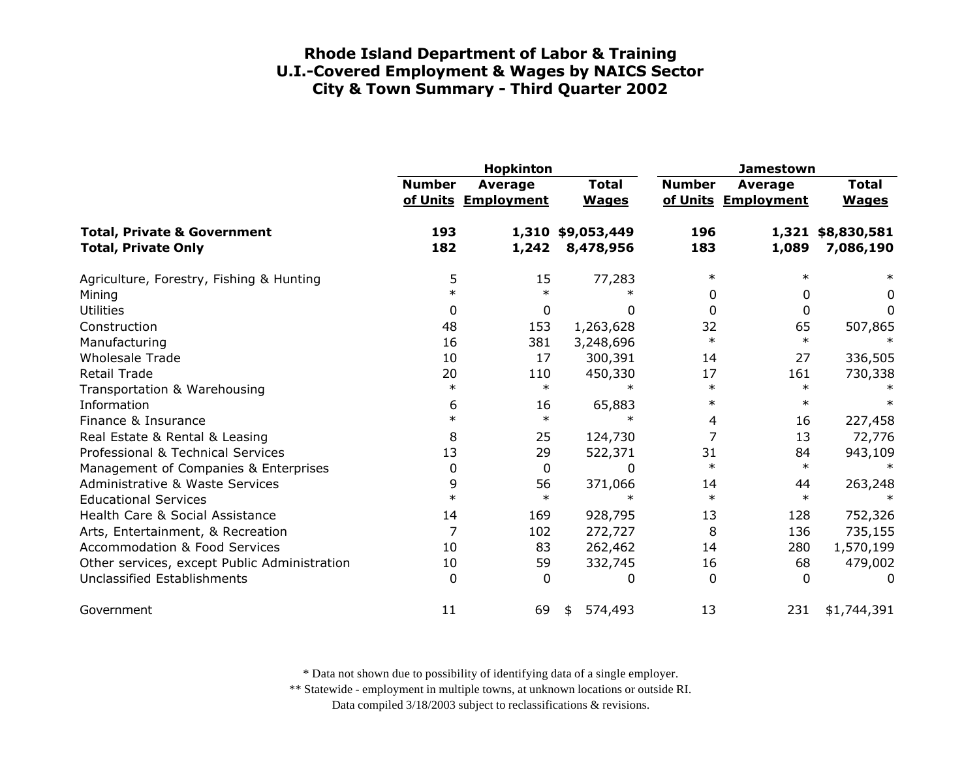|                                                                             |               | <b>Hopkinton</b>               |                                | <b>Jamestown</b> |                                       |                                |
|-----------------------------------------------------------------------------|---------------|--------------------------------|--------------------------------|------------------|---------------------------------------|--------------------------------|
|                                                                             | <b>Number</b> | Average<br>of Units Employment | <b>Total</b><br><b>Wages</b>   | <b>Number</b>    | <b>Average</b><br>of Units Employment | <b>Total</b><br><b>Wages</b>   |
| <b>Total, Private &amp; Government</b><br><b>Total, Private Only</b>        | 193<br>182    | 1,242                          | 1,310 \$9,053,449<br>8,478,956 | 196<br>183       | 1,089                                 | 1,321 \$8,830,581<br>7,086,190 |
| Agriculture, Forestry, Fishing & Hunting<br>Mining                          | 5<br>$\ast$   | 15<br>$\ast$                   | 77,283                         | $\ast$<br>0      | $\ast$<br>0                           | $\ast$<br>0                    |
| <b>Utilities</b>                                                            | 0             | 0                              | 0                              | 0                | 0                                     | 0                              |
| Construction<br>Manufacturing                                               | 48<br>16      | 153<br>381                     | 1,263,628<br>3,248,696         | 32<br>$\ast$     | 65<br>$\ast$                          | 507,865<br>∗                   |
| <b>Wholesale Trade</b><br><b>Retail Trade</b>                               | 10<br>20      | 17                             | 300,391                        | 14<br>17         | 27<br>161                             | 336,505                        |
| Transportation & Warehousing                                                | $\ast$        | 110<br>$\ast$                  | 450,330<br>$\ast$              | $\ast$           | $\ast$                                | 730,338                        |
| Information<br>Finance & Insurance                                          | 6<br>$\ast$   | 16<br>$\ast$                   | 65,883<br>$\ast$               | $\ast$<br>4      | $\ast$<br>16                          | 227,458                        |
| Real Estate & Rental & Leasing<br>Professional & Technical Services         | 8<br>13       | 25<br>29                       | 124,730                        | 7<br>31          | 13<br>84                              | 72,776                         |
| Management of Companies & Enterprises                                       | 0             | $\mathbf 0$                    | 522,371<br>0                   | $\ast$           | $\ast$                                | 943,109<br>$\ast$              |
| Administrative & Waste Services<br><b>Educational Services</b>              | 9<br>$\ast$   | 56<br>$\ast$                   | 371,066<br>$\ast$              | 14<br>$\ast$     | 44<br>$\ast$                          | 263,248                        |
| Health Care & Social Assistance<br>Arts, Entertainment, & Recreation        | 14<br>7       | 169<br>102                     | 928,795<br>272,727             | 13<br>8          | 128<br>136                            | 752,326<br>735,155             |
| <b>Accommodation &amp; Food Services</b>                                    | 10            | 83                             | 262,462                        | 14               | 280                                   | 1,570,199                      |
| Other services, except Public Administration<br>Unclassified Establishments | 10<br>0       | 59<br>$\Omega$                 | 332,745<br>0                   | 16<br>$\Omega$   | 68<br>0                               | 479,002<br>0                   |
| Government                                                                  | 11            | 69                             | 574,493<br>\$                  | 13               | 231                                   | \$1,744,391                    |

\* Data not shown due to possibility of identifying data of a single employer.

\*\* Statewide - employment in multiple towns, at unknown locations or outside RI.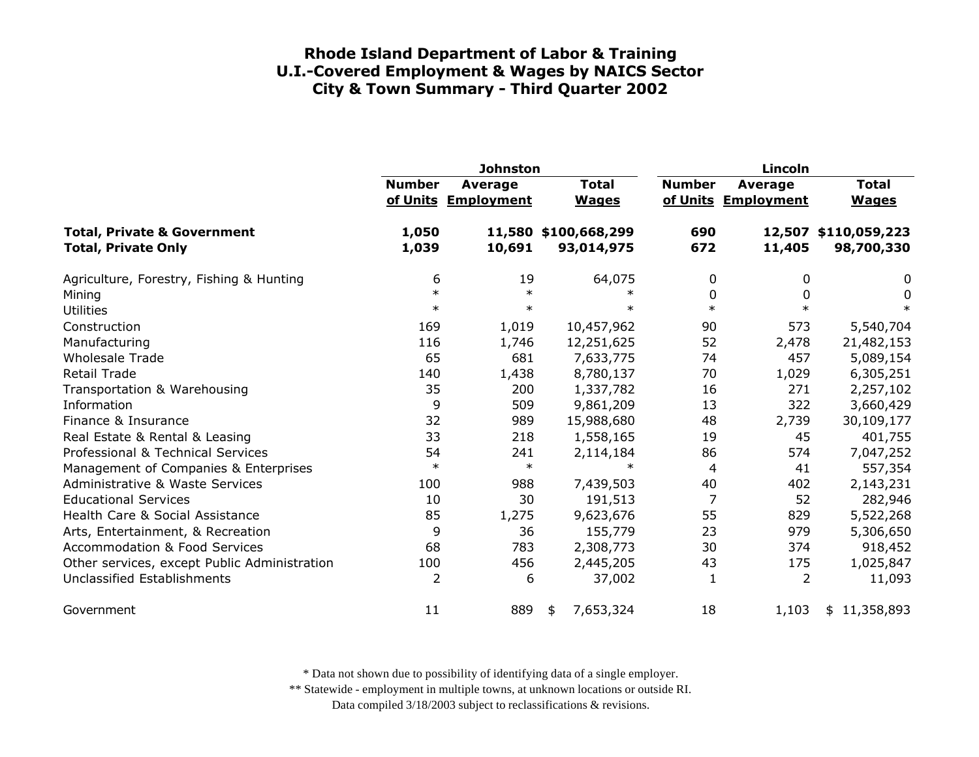|                                                                      | <b>Johnston</b> |                                       |                                    |               | Lincoln                               |                                    |  |  |
|----------------------------------------------------------------------|-----------------|---------------------------------------|------------------------------------|---------------|---------------------------------------|------------------------------------|--|--|
|                                                                      | <b>Number</b>   | <b>Average</b><br>of Units Employment | <b>Total</b><br><b>Wages</b>       | <b>Number</b> | <b>Average</b><br>of Units Employment | <b>Total</b><br><b>Wages</b>       |  |  |
| <b>Total, Private &amp; Government</b><br><b>Total, Private Only</b> | 1,050<br>1,039  | 10,691                                | 11,580 \$100,668,299<br>93,014,975 | 690<br>672    | 11,405                                | 12,507 \$110,059,223<br>98,700,330 |  |  |
| Agriculture, Forestry, Fishing & Hunting                             | 6               | 19                                    | 64,075                             | 0             | 0                                     | 0                                  |  |  |
| Mining                                                               | $\ast$          | $\ast$                                | $\ast$                             | 0             | $\Omega$                              | 0                                  |  |  |
| <b>Utilities</b>                                                     | $\ast$          | $\ast$                                | $\ast$                             | $\ast$        | $\ast$                                | $\ast$                             |  |  |
| Construction                                                         | 169             | 1,019                                 | 10,457,962                         | 90            | 573                                   | 5,540,704                          |  |  |
| Manufacturing                                                        | 116             | 1,746                                 | 12,251,625                         | 52            | 2,478                                 | 21,482,153                         |  |  |
| <b>Wholesale Trade</b>                                               | 65              | 681                                   | 7,633,775                          | 74            | 457                                   | 5,089,154                          |  |  |
| Retail Trade                                                         | 140             | 1,438                                 | 8,780,137                          | 70            | 1,029                                 | 6,305,251                          |  |  |
| Transportation & Warehousing                                         | 35              | 200                                   | 1,337,782                          | 16            | 271                                   | 2,257,102                          |  |  |
| Information                                                          | 9               | 509                                   | 9,861,209                          | 13            | 322                                   | 3,660,429                          |  |  |
| Finance & Insurance                                                  | 32              | 989                                   | 15,988,680                         | 48            | 2,739                                 | 30,109,177                         |  |  |
| Real Estate & Rental & Leasing                                       | 33              | 218                                   | 1,558,165                          | 19            | 45                                    | 401,755                            |  |  |
| Professional & Technical Services                                    | 54              | 241                                   | 2,114,184                          | 86            | 574                                   | 7,047,252                          |  |  |
| Management of Companies & Enterprises                                | $\ast$          | $\ast$                                | $\ast$                             | 4             | 41                                    | 557,354                            |  |  |
| Administrative & Waste Services                                      | 100             | 988                                   | 7,439,503                          | 40            | 402                                   | 2,143,231                          |  |  |
| <b>Educational Services</b>                                          | 10              | 30                                    | 191,513                            | 7             | 52                                    | 282,946                            |  |  |
| Health Care & Social Assistance                                      | 85              | 1,275                                 | 9,623,676                          | 55            | 829                                   | 5,522,268                          |  |  |
| Arts, Entertainment, & Recreation                                    | 9               | 36                                    | 155,779                            | 23            | 979                                   | 5,306,650                          |  |  |
| <b>Accommodation &amp; Food Services</b>                             | 68              | 783                                   | 2,308,773                          | 30            | 374                                   | 918,452                            |  |  |
| Other services, except Public Administration                         | 100             | 456                                   | 2,445,205                          | 43            | 175                                   | 1,025,847                          |  |  |
| Unclassified Establishments                                          | 2               | 6                                     | 37,002                             | 1             | 2                                     | 11,093                             |  |  |
| Government                                                           | 11              | 889                                   | 7,653,324<br>\$                    | 18            | 1,103                                 | \$11,358,893                       |  |  |

\* Data not shown due to possibility of identifying data of a single employer.

\*\* Statewide - employment in multiple towns, at unknown locations or outside RI.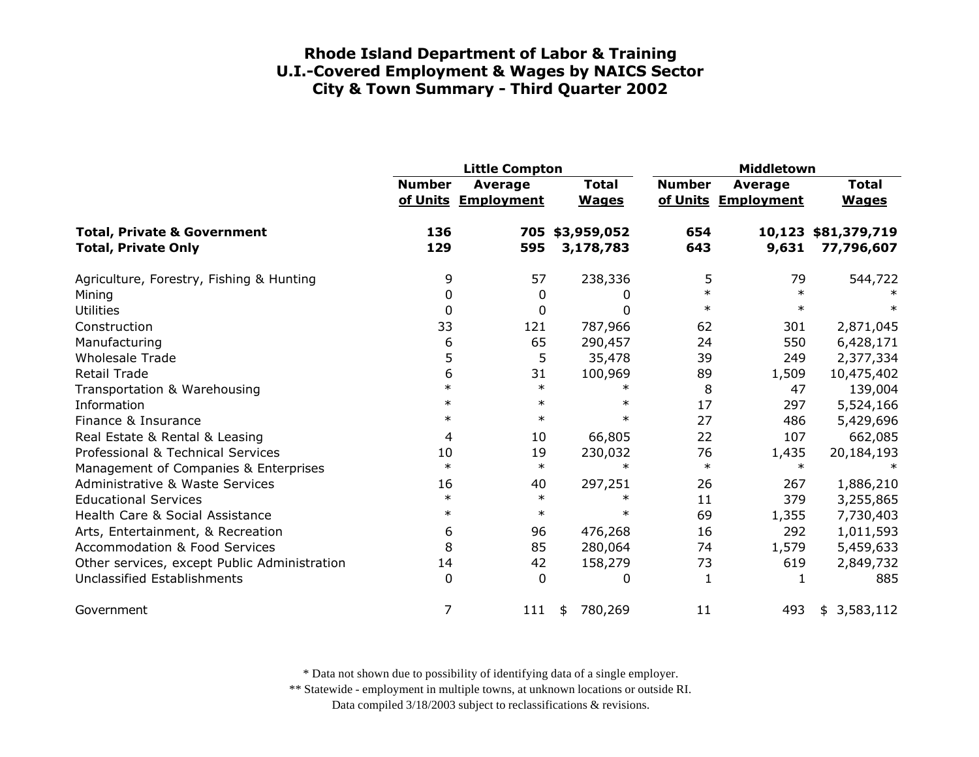|                                                                      | <b>Little Compton</b> |                                |                              | <b>Middletown</b> |                                       |                                   |
|----------------------------------------------------------------------|-----------------------|--------------------------------|------------------------------|-------------------|---------------------------------------|-----------------------------------|
|                                                                      | <b>Number</b>         | Average<br>of Units Employment | <b>Total</b><br><b>Wages</b> | <b>Number</b>     | <b>Average</b><br>of Units Employment | <b>Total</b><br><b>Wages</b>      |
| <b>Total, Private &amp; Government</b><br><b>Total, Private Only</b> | 136<br>129            | 595                            | 705 \$3,959,052<br>3,178,783 | 654<br>643        | 9,631                                 | 10,123 \$81,379,719<br>77,796,607 |
| Agriculture, Forestry, Fishing & Hunting                             | 9                     | 57                             | 238,336                      | 5                 | 79                                    | 544,722                           |
| Mining                                                               | 0                     | $\boldsymbol{0}$               | 0                            | $\ast$            | $\ast$                                |                                   |
| <b>Utilities</b>                                                     | 0                     | 0                              | 0                            | $\ast$            | $\ast$                                |                                   |
| Construction                                                         | 33                    | 121                            | 787,966                      | 62                | 301                                   | 2,871,045                         |
| Manufacturing                                                        | 6                     | 65                             | 290,457                      | 24                | 550                                   | 6,428,171                         |
| <b>Wholesale Trade</b>                                               | 5                     | 5                              | 35,478                       | 39                | 249                                   | 2,377,334                         |
| <b>Retail Trade</b>                                                  | 6                     | 31                             | 100,969                      | 89                | 1,509                                 | 10,475,402                        |
| Transportation & Warehousing                                         | $\ast$                | $\ast$                         | $\ast$                       | 8                 | 47                                    | 139,004                           |
| Information                                                          | $\ast$                | $\ast$                         | $\ast$                       | 17                | 297                                   | 5,524,166                         |
| Finance & Insurance                                                  | $\ast$                | $\ast$                         | $\ast$                       | 27                | 486                                   | 5,429,696                         |
| Real Estate & Rental & Leasing                                       | 4                     | 10                             | 66,805                       | 22                | 107                                   | 662,085                           |
| Professional & Technical Services                                    | 10                    | 19                             | 230,032                      | 76                | 1,435                                 | 20,184,193                        |
| Management of Companies & Enterprises                                | $\ast$                | $\ast$                         | $\ast$                       | $\ast$            | $\ast$                                |                                   |
| Administrative & Waste Services                                      | 16                    | 40                             | 297,251                      | 26                | 267                                   | 1,886,210                         |
| <b>Educational Services</b>                                          | $\ast$                | $\ast$                         | $\ast$                       | 11                | 379                                   | 3,255,865                         |
| Health Care & Social Assistance                                      | $\ast$                | $\ast$                         | $\ast$                       | 69                | 1,355                                 | 7,730,403                         |
| Arts, Entertainment, & Recreation                                    | 6                     | 96                             | 476,268                      | 16                | 292                                   | 1,011,593                         |
| <b>Accommodation &amp; Food Services</b>                             | 8                     | 85                             | 280,064                      | 74                | 1,579                                 | 5,459,633                         |
| Other services, except Public Administration                         | 14                    | 42                             | 158,279                      | 73                | 619                                   | 2,849,732                         |
| Unclassified Establishments                                          | 0                     | $\mathbf 0$                    | 0                            | 1                 | 1                                     | 885                               |
| Government                                                           | 7                     | 111                            | 780,269<br>\$                | 11                | 493                                   | 3,583,112<br>\$                   |

\* Data not shown due to possibility of identifying data of a single employer.

\*\* Statewide - employment in multiple towns, at unknown locations or outside RI.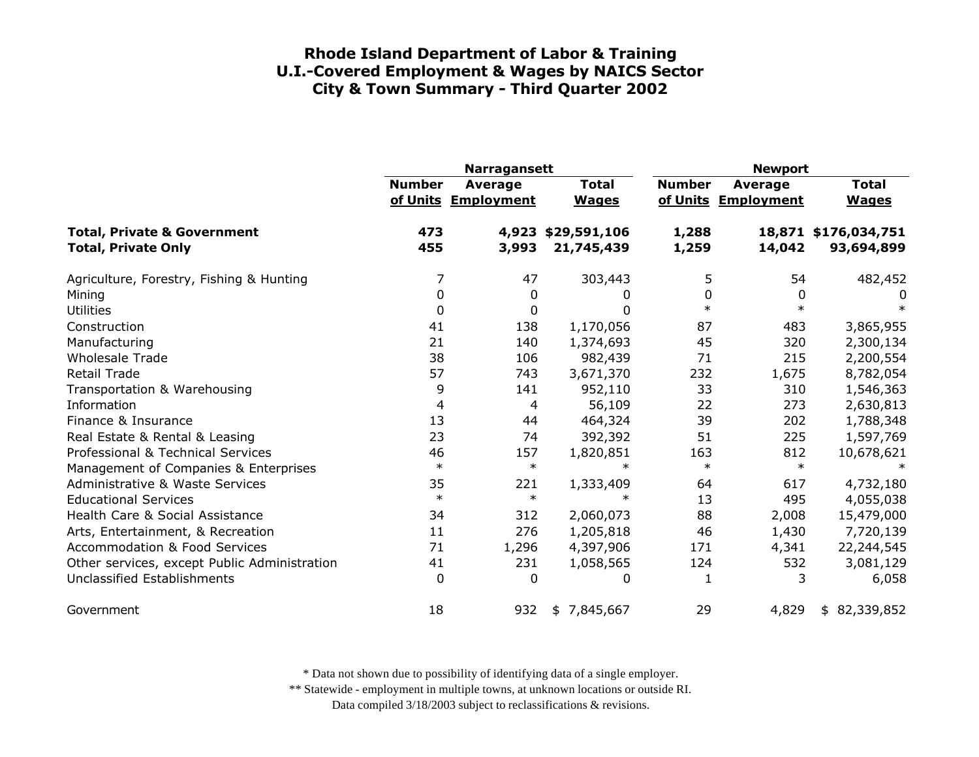|                                                                      | <b>Narragansett</b> |                                       |                              | <b>Newport</b> |                                       |                                    |
|----------------------------------------------------------------------|---------------------|---------------------------------------|------------------------------|----------------|---------------------------------------|------------------------------------|
|                                                                      | <b>Number</b>       | <b>Average</b><br>of Units Employment | <b>Total</b><br><b>Wages</b> | <b>Number</b>  | <b>Average</b><br>of Units Employment | <b>Total</b><br><b>Wages</b>       |
| <b>Total, Private &amp; Government</b><br><b>Total, Private Only</b> | 473<br>455          | 4,923<br>3,993                        | \$29,591,106<br>21,745,439   | 1,288<br>1,259 | 14,042                                | 18,871 \$176,034,751<br>93,694,899 |
| Agriculture, Forestry, Fishing & Hunting                             | 7                   | 47                                    | 303,443                      | 5              | 54                                    | 482,452                            |
| Mining                                                               | 0                   | 0                                     | 0                            | 0              | 0                                     | 0                                  |
| <b>Utilities</b>                                                     | 0                   | 0                                     |                              | $\ast$         | $\ast$                                | $\ast$                             |
| Construction                                                         | 41                  | 138                                   | 1,170,056                    | 87             | 483                                   | 3,865,955                          |
| Manufacturing                                                        | 21                  | 140                                   | 1,374,693                    | 45             | 320                                   | 2,300,134                          |
| <b>Wholesale Trade</b>                                               | 38                  | 106                                   | 982,439                      | 71             | 215                                   | 2,200,554                          |
| Retail Trade                                                         | 57                  | 743                                   | 3,671,370                    | 232            | 1,675                                 | 8,782,054                          |
| Transportation & Warehousing                                         | 9                   | 141                                   | 952,110                      | 33             | 310                                   | 1,546,363                          |
| Information                                                          | 4                   | 4                                     | 56,109                       | 22             | 273                                   | 2,630,813                          |
| Finance & Insurance                                                  | 13                  | 44                                    | 464,324                      | 39             | 202                                   | 1,788,348                          |
| Real Estate & Rental & Leasing                                       | 23                  | 74                                    | 392,392                      | 51             | 225                                   | 1,597,769                          |
| Professional & Technical Services                                    | 46                  | 157                                   | 1,820,851                    | 163            | 812                                   | 10,678,621                         |
| Management of Companies & Enterprises                                | $\ast$              | $\ast$                                | $\ast$                       | $\ast$         | $\ast$                                | $\ast$                             |
| <b>Administrative &amp; Waste Services</b>                           | 35                  | 221                                   | 1,333,409                    | 64             | 617                                   | 4,732,180                          |
| <b>Educational Services</b>                                          | $\ast$              | $\ast$                                |                              | 13             | 495                                   | 4,055,038                          |
| Health Care & Social Assistance                                      | 34                  | 312                                   | 2,060,073                    | 88             | 2,008                                 | 15,479,000                         |
| Arts, Entertainment, & Recreation                                    | 11                  | 276                                   | 1,205,818                    | 46             | 1,430                                 | 7,720,139                          |
| <b>Accommodation &amp; Food Services</b>                             | 71                  | 1,296                                 | 4,397,906                    | 171            | 4,341                                 | 22,244,545                         |
| Other services, except Public Administration                         | 41                  | 231                                   | 1,058,565                    | 124            | 532                                   | 3,081,129                          |
| Unclassified Establishments                                          | 0                   | 0                                     | 0                            | 1              | 3                                     | 6,058                              |
| Government                                                           | 18                  | 932                                   | \$7,845,667                  | 29             | 4,829                                 | \$82,339,852                       |

\* Data not shown due to possibility of identifying data of a single employer.

\*\* Statewide - employment in multiple towns, at unknown locations or outside RI.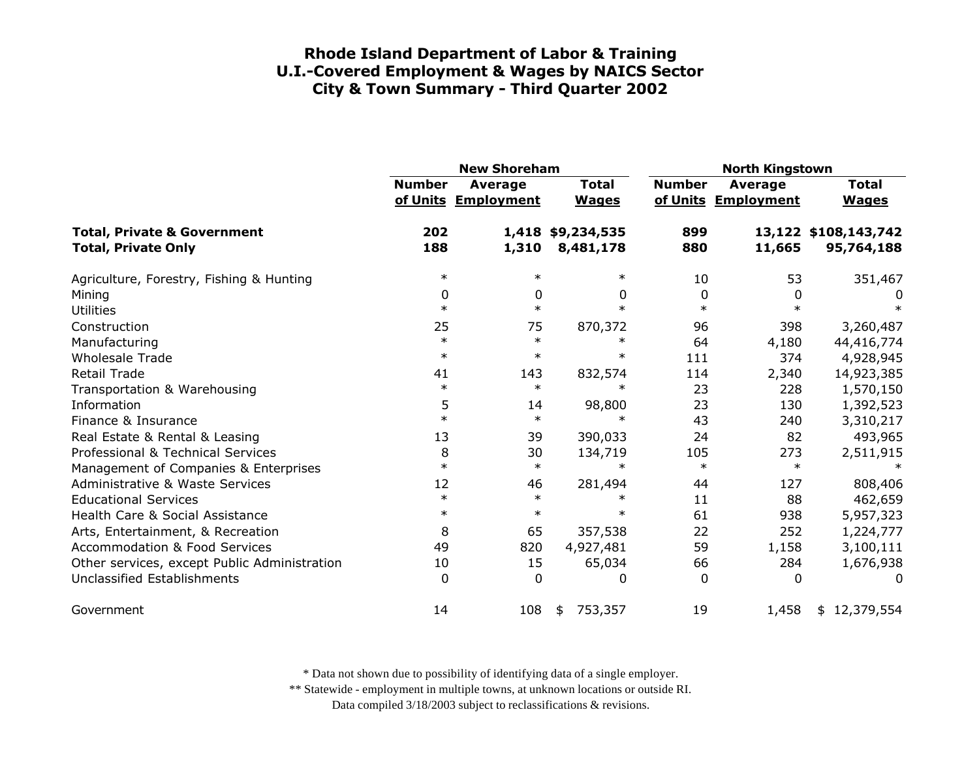|                                                                      | <b>New Shoreham</b> |                                |                                | <b>North Kingstown</b> |                                |                                    |
|----------------------------------------------------------------------|---------------------|--------------------------------|--------------------------------|------------------------|--------------------------------|------------------------------------|
|                                                                      | <b>Number</b>       | Average<br>of Units Employment | <b>Total</b><br><b>Wages</b>   | <b>Number</b>          | Average<br>of Units Employment | <b>Total</b><br><b>Wages</b>       |
| <b>Total, Private &amp; Government</b><br><b>Total, Private Only</b> | 202<br>188          | 1,310                          | 1,418 \$9,234,535<br>8,481,178 | 899<br>880             | 11,665                         | 13,122 \$108,143,742<br>95,764,188 |
| Agriculture, Forestry, Fishing & Hunting                             | $\ast$              | $\ast$                         | $\ast$                         | 10                     | 53                             | 351,467                            |
| Mining                                                               | 0                   | 0                              | 0                              | 0                      | 0                              | 0                                  |
| <b>Utilities</b>                                                     | $\ast$              | $\ast$                         | $\ast$                         | $\ast$                 | $\ast$                         | $\ast$                             |
| Construction                                                         | 25                  | 75                             | 870,372                        | 96                     | 398                            | 3,260,487                          |
| Manufacturing                                                        | $\ast$              | $\ast$                         | $\ast$                         | 64                     | 4,180                          | 44,416,774                         |
| <b>Wholesale Trade</b>                                               | $\ast$              | $\ast$                         | $\ast$                         | 111                    | 374                            | 4,928,945                          |
| <b>Retail Trade</b>                                                  | 41                  | 143                            | 832,574                        | 114                    | 2,340                          | 14,923,385                         |
| Transportation & Warehousing                                         | $\ast$              | $\ast$                         | $\ast$                         | 23                     | 228                            | 1,570,150                          |
| Information                                                          | 5                   | 14                             | 98,800                         | 23                     | 130                            | 1,392,523                          |
| Finance & Insurance                                                  | $\ast$              | $\ast$                         | $\ast$                         | 43                     | 240                            | 3,310,217                          |
| Real Estate & Rental & Leasing                                       | 13                  | 39                             | 390,033                        | 24                     | 82                             | 493,965                            |
| Professional & Technical Services                                    | 8                   | 30                             | 134,719                        | 105                    | 273                            | 2,511,915                          |
| Management of Companies & Enterprises                                | $\ast$              | $\ast$                         | $\ast$                         | $\ast$                 | $\ast$                         |                                    |
| <b>Administrative &amp; Waste Services</b>                           | 12                  | 46                             | 281,494                        | 44                     | 127                            | 808,406                            |
| <b>Educational Services</b>                                          | $\ast$              | $\ast$                         | $\ast$                         | 11                     | 88                             | 462,659                            |
| Health Care & Social Assistance                                      | $\ast$              | $\ast$                         | $\ast$                         | 61                     | 938                            | 5,957,323                          |
| Arts, Entertainment, & Recreation                                    | 8                   | 65                             | 357,538                        | 22                     | 252                            | 1,224,777                          |
| <b>Accommodation &amp; Food Services</b>                             | 49                  | 820                            | 4,927,481                      | 59                     | 1,158                          | 3,100,111                          |
| Other services, except Public Administration                         | 10                  | 15                             | 65,034                         | 66                     | 284                            | 1,676,938                          |
| <b>Unclassified Establishments</b>                                   | $\Omega$            | $\Omega$                       | 0                              | $\Omega$               | 0                              | 0                                  |
| Government                                                           | 14                  | 108                            | 753,357<br>\$                  | 19                     | 1,458                          | \$12,379,554                       |

\* Data not shown due to possibility of identifying data of a single employer.

\*\* Statewide - employment in multiple towns, at unknown locations or outside RI.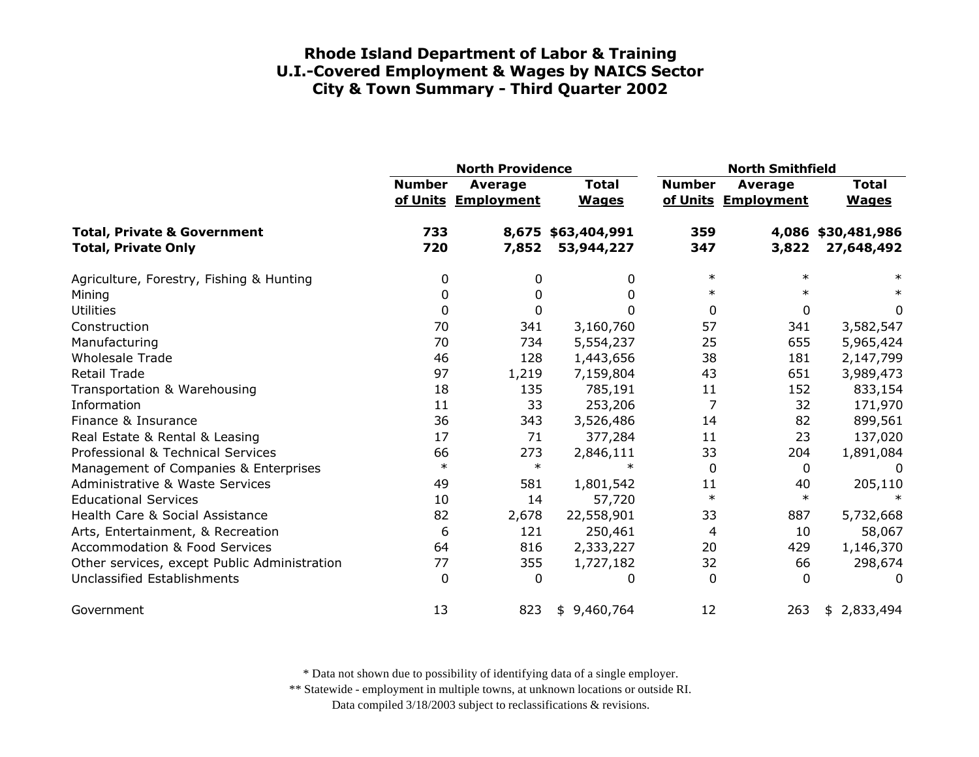|                                                                      | <b>North Providence</b> |                                       |                                  | <b>North Smithfield</b> |                                |                                  |
|----------------------------------------------------------------------|-------------------------|---------------------------------------|----------------------------------|-------------------------|--------------------------------|----------------------------------|
|                                                                      | <b>Number</b>           | <b>Average</b><br>of Units Employment | <b>Total</b><br><b>Wages</b>     | <b>Number</b>           | Average<br>of Units Employment | <b>Total</b><br><b>Wages</b>     |
| <b>Total, Private &amp; Government</b><br><b>Total, Private Only</b> | 733<br>720              | 7,852                                 | 8,675 \$63,404,991<br>53,944,227 | 359<br>347              | 3,822                          | 4,086 \$30,481,986<br>27,648,492 |
| Agriculture, Forestry, Fishing & Hunting                             | 0                       | 0                                     | 0                                | $\ast$                  | $\ast$                         | $\ast$                           |
| Mining                                                               | 0                       | 0                                     | 0                                | $\ast$                  |                                | $\ast$                           |
| <b>Utilities</b>                                                     | 0                       | 0                                     | 0                                | 0                       | $\mathbf{0}$                   | 0                                |
| Construction                                                         | 70                      | 341                                   | 3,160,760                        | 57                      | 341                            | 3,582,547                        |
| Manufacturing                                                        | 70                      | 734                                   | 5,554,237                        | 25                      | 655                            | 5,965,424                        |
| <b>Wholesale Trade</b>                                               | 46                      | 128                                   | 1,443,656                        | 38                      | 181                            | 2,147,799                        |
| Retail Trade                                                         | 97                      | 1,219                                 | 7,159,804                        | 43                      | 651                            | 3,989,473                        |
| Transportation & Warehousing                                         | 18                      | 135                                   | 785,191                          | 11                      | 152                            | 833,154                          |
| Information                                                          | 11                      | 33                                    | 253,206                          | 7                       | 32                             | 171,970                          |
| Finance & Insurance                                                  | 36                      | 343                                   | 3,526,486                        | 14                      | 82                             | 899,561                          |
| Real Estate & Rental & Leasing                                       | 17                      | 71                                    | 377,284                          | 11                      | 23                             | 137,020                          |
| Professional & Technical Services                                    | 66                      | 273                                   | 2,846,111                        | 33                      | 204                            | 1,891,084                        |
| Management of Companies & Enterprises                                | $\ast$                  | $\ast$                                | $\ast$                           | 0                       | $\mathbf{0}$                   | 0                                |
| <b>Administrative &amp; Waste Services</b>                           | 49                      | 581                                   | 1,801,542                        | 11                      | 40                             | 205,110                          |
| <b>Educational Services</b>                                          | 10                      | 14                                    | 57,720                           | $\ast$                  | $\ast$                         |                                  |
| Health Care & Social Assistance                                      | 82                      | 2,678                                 | 22,558,901                       | 33                      | 887                            | 5,732,668                        |
| Arts, Entertainment, & Recreation                                    | 6                       | 121                                   | 250,461                          | 4                       | 10                             | 58,067                           |
| <b>Accommodation &amp; Food Services</b>                             | 64                      | 816                                   | 2,333,227                        | 20                      | 429                            | 1,146,370                        |
| Other services, except Public Administration                         | 77                      | 355                                   | 1,727,182                        | 32                      | 66                             | 298,674                          |
| Unclassified Establishments                                          | $\Omega$                | $\mathbf{0}$                          | 0                                | $\Omega$                | 0                              | 0                                |
| Government                                                           | 13                      | 823                                   | 9,460,764<br>\$                  | 12                      | 263                            | \$2,833,494                      |

\* Data not shown due to possibility of identifying data of a single employer.

\*\* Statewide - employment in multiple towns, at unknown locations or outside RI.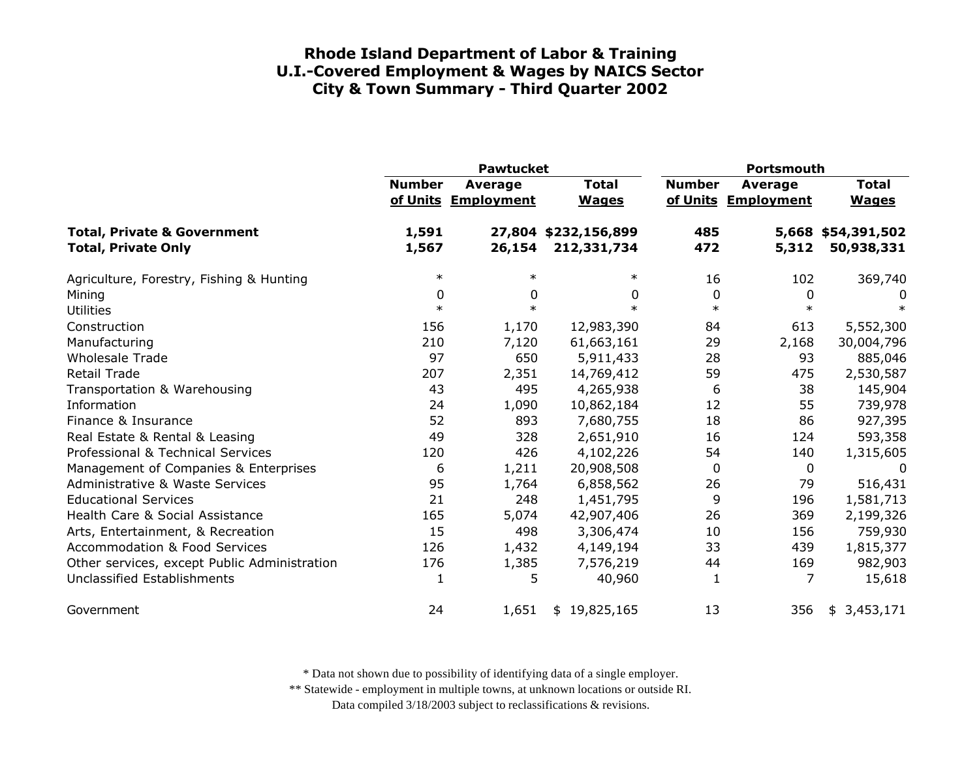|                                                                      | <b>Pawtucket</b> |                                |                                     | Portsmouth    |                                |                                  |
|----------------------------------------------------------------------|------------------|--------------------------------|-------------------------------------|---------------|--------------------------------|----------------------------------|
|                                                                      | <b>Number</b>    | Average<br>of Units Employment | <b>Total</b><br><b>Wages</b>        | <b>Number</b> | Average<br>of Units Employment | <b>Total</b><br><b>Wages</b>     |
| <b>Total, Private &amp; Government</b><br><b>Total, Private Only</b> | 1,591<br>1,567   | 26,154                         | 27,804 \$232,156,899<br>212,331,734 | 485<br>472    | 5,312                          | 5,668 \$54,391,502<br>50,938,331 |
| Agriculture, Forestry, Fishing & Hunting                             | $\ast$           | $\ast$                         | $\ast$                              | 16            | 102                            | 369,740                          |
| Mining                                                               | 0                | 0                              | 0                                   | 0             | $\mathbf 0$                    | 0                                |
| <b>Utilities</b>                                                     | $\ast$           | $\ast$                         | $\ast$                              | $\ast$        | $\ast$                         | $\ast$                           |
| Construction                                                         | 156              | 1,170                          | 12,983,390                          | 84            | 613                            | 5,552,300                        |
| Manufacturing                                                        | 210              | 7,120                          | 61,663,161                          | 29            | 2,168                          | 30,004,796                       |
| <b>Wholesale Trade</b>                                               | 97               | 650                            | 5,911,433                           | 28            | 93                             | 885,046                          |
| <b>Retail Trade</b>                                                  | 207              | 2,351                          | 14,769,412                          | 59            | 475                            | 2,530,587                        |
| Transportation & Warehousing                                         | 43               | 495                            | 4,265,938                           | 6             | 38                             | 145,904                          |
| Information                                                          | 24               | 1,090                          | 10,862,184                          | 12            | 55                             | 739,978                          |
| Finance & Insurance                                                  | 52               | 893                            | 7,680,755                           | 18            | 86                             | 927,395                          |
| Real Estate & Rental & Leasing                                       | 49               | 328                            | 2,651,910                           | 16            | 124                            | 593,358                          |
| Professional & Technical Services                                    | 120              | 426                            | 4,102,226                           | 54            | 140                            | 1,315,605                        |
| Management of Companies & Enterprises                                | 6                | 1,211                          | 20,908,508                          | 0             | $\mathbf 0$                    | $\Omega$                         |
| <b>Administrative &amp; Waste Services</b>                           | 95               | 1,764                          | 6,858,562                           | 26            | 79                             | 516,431                          |
| <b>Educational Services</b>                                          | 21               | 248                            | 1,451,795                           | 9             | 196                            | 1,581,713                        |
| Health Care & Social Assistance                                      | 165              | 5,074                          | 42,907,406                          | 26            | 369                            | 2,199,326                        |
| Arts, Entertainment, & Recreation                                    | 15               | 498                            | 3,306,474                           | 10            | 156                            | 759,930                          |
| <b>Accommodation &amp; Food Services</b>                             | 126              | 1,432                          | 4,149,194                           | 33            | 439                            | 1,815,377                        |
| Other services, except Public Administration                         | 176              | 1,385                          | 7,576,219                           | 44            | 169                            | 982,903                          |
| Unclassified Establishments                                          | 1                | 5                              | 40,960                              | $\mathbf{1}$  | 7                              | 15,618                           |
| Government                                                           | 24               | 1,651                          | \$19,825,165                        | 13            | 356                            | \$3,453,171                      |

\* Data not shown due to possibility of identifying data of a single employer.

\*\* Statewide - employment in multiple towns, at unknown locations or outside RI.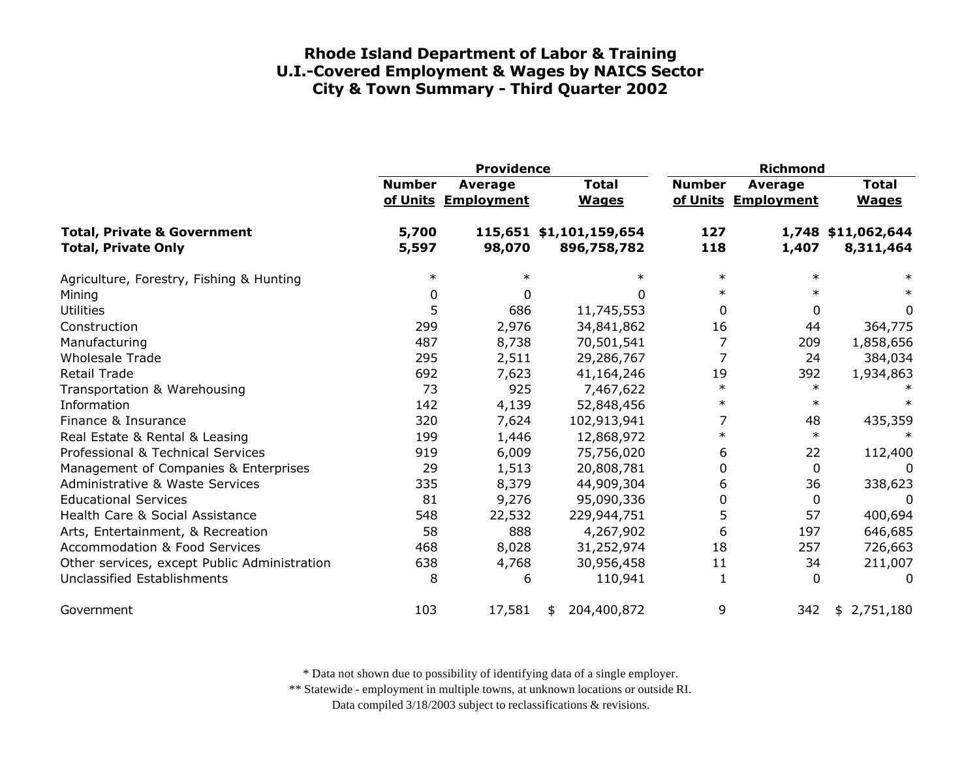|                                                                      | <b>Providence</b> |                                       |                                        | <b>Richmond</b> |                                       |                                 |
|----------------------------------------------------------------------|-------------------|---------------------------------------|----------------------------------------|-----------------|---------------------------------------|---------------------------------|
|                                                                      | <b>Number</b>     | <b>Average</b><br>of Units Employment | <b>Total</b><br><b>Wages</b>           | <b>Number</b>   | <b>Average</b><br>of Units Employment | <b>Total</b><br><b>Wages</b>    |
| <b>Total, Private &amp; Government</b><br><b>Total, Private Only</b> | 5,700<br>5,597    | 98,070                                | 115,651 \$1,101,159,654<br>896,758,782 | 127<br>118      | 1,407                                 | 1,748 \$11,062,644<br>8,311,464 |
| Agriculture, Forestry, Fishing & Hunting                             | $\ast$            | $\ast$                                |                                        | $\ast$          | $\ast$                                | $\ast$                          |
| Mining                                                               | 0                 | <sup>0</sup>                          | <sup>0</sup>                           | $\ast$          | $\ast$                                | $\ast$                          |
| <b>Utilities</b>                                                     | 5                 | 686                                   | 11,745,553                             | 0               | 0                                     | 0                               |
| Construction                                                         | 299               | 2,976                                 | 34,841,862                             | 16              | 44                                    | 364,775                         |
| Manufacturing                                                        | 487               | 8,738                                 | 70,501,541                             | 7               | 209                                   | 1,858,656                       |
| <b>Wholesale Trade</b>                                               | 295               | 2,511                                 | 29,286,767                             | 7               | 24                                    | 384,034                         |
| <b>Retail Trade</b>                                                  | 692               | 7,623                                 | 41,164,246                             | 19              | 392                                   | 1,934,863                       |
| Transportation & Warehousing                                         | 73                | 925                                   | 7,467,622                              | $\ast$          | $\ast$                                |                                 |
| Information                                                          | 142               | 4,139                                 | 52,848,456                             | $\ast$          | $\ast$                                | $\ast$                          |
| Finance & Insurance                                                  | 320               | 7,624                                 | 102,913,941                            | 7               | 48                                    | 435,359                         |
| Real Estate & Rental & Leasing                                       | 199               | 1,446                                 | 12,868,972                             | $\ast$          | $\ast$                                |                                 |
| Professional & Technical Services                                    | 919               | 6,009                                 | 75,756,020                             | 6               | 22                                    | 112,400                         |
| Management of Companies & Enterprises                                | 29                | 1,513                                 | 20,808,781                             | 0               | 0                                     | 0                               |
| Administrative & Waste Services                                      | 335               | 8,379                                 | 44,909,304                             | 6               | 36                                    | 338,623                         |
| <b>Educational Services</b>                                          | 81                | 9,276                                 | 95,090,336                             | 0               | 0                                     | 0                               |
| Health Care & Social Assistance                                      | 548               | 22,532                                | 229,944,751                            | 5               | 57                                    | 400,694                         |
| Arts, Entertainment, & Recreation                                    | 58                | 888                                   | 4,267,902                              | 6               | 197                                   | 646,685                         |
| <b>Accommodation &amp; Food Services</b>                             | 468               | 8,028                                 | 31,252,974                             | 18              | 257                                   | 726,663                         |
| Other services, except Public Administration                         | 638               | 4,768                                 | 30,956,458                             | 11              | 34                                    | 211,007                         |
| Unclassified Establishments                                          | 8                 | 6                                     | 110,941                                | 1               | 0                                     | 0                               |
| Government                                                           | 103               | 17,581                                | 204,400,872<br>\$                      | 9               | 342                                   | \$2,751,180                     |

\* Data not shown due to possibility of identifying data of a single employer.

\*\* Statewide - employment in multiple towns, at unknown locations or outside RI.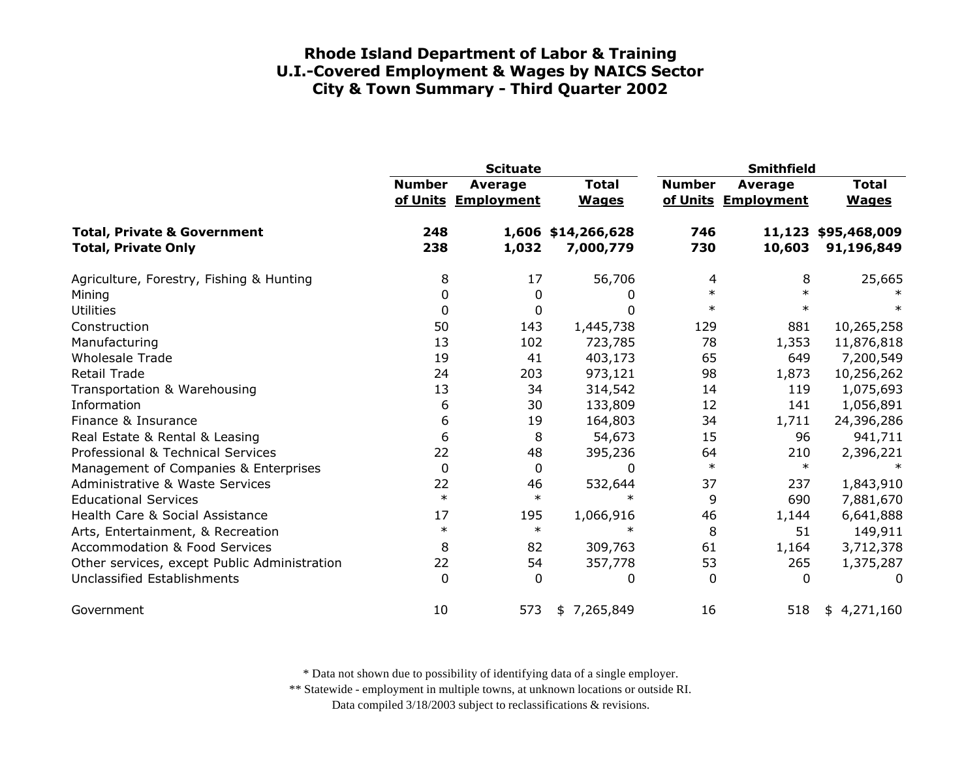|                                                                      | <b>Scituate</b> |                                |                                 | <b>Smithfield</b> |                                |                                   |
|----------------------------------------------------------------------|-----------------|--------------------------------|---------------------------------|-------------------|--------------------------------|-----------------------------------|
|                                                                      | <b>Number</b>   | Average<br>of Units Employment | <b>Total</b><br><b>Wages</b>    | <b>Number</b>     | Average<br>of Units Employment | <b>Total</b><br><b>Wages</b>      |
| <b>Total, Private &amp; Government</b><br><b>Total, Private Only</b> | 248<br>238      | 1,032                          | 1,606 \$14,266,628<br>7,000,779 | 746<br>730        | 10,603                         | 11,123 \$95,468,009<br>91,196,849 |
| Agriculture, Forestry, Fishing & Hunting                             | 8               | 17                             | 56,706                          | 4                 | 8                              | 25,665                            |
| Mining                                                               | 0               | 0                              | 0                               | $\ast$            |                                |                                   |
| <b>Utilities</b>                                                     | 0               | 0                              | 0                               | $\ast$            | $\ast$                         |                                   |
| Construction                                                         | 50              | 143                            | 1,445,738                       | 129               | 881                            | 10,265,258                        |
| Manufacturing                                                        | 13              | 102                            | 723,785                         | 78                | 1,353                          | 11,876,818                        |
| <b>Wholesale Trade</b>                                               | 19              | 41                             | 403,173                         | 65                | 649                            | 7,200,549                         |
| <b>Retail Trade</b>                                                  | 24              | 203                            | 973,121                         | 98                | 1,873                          | 10,256,262                        |
| Transportation & Warehousing                                         | 13              | 34                             | 314,542                         | 14                | 119                            | 1,075,693                         |
| Information                                                          | 6               | 30                             | 133,809                         | 12                | 141                            | 1,056,891                         |
| Finance & Insurance                                                  | 6               | 19                             | 164,803                         | 34                | 1,711                          | 24,396,286                        |
| Real Estate & Rental & Leasing                                       | 6               | 8                              | 54,673                          | 15                | 96                             | 941,711                           |
| Professional & Technical Services                                    | 22              | 48                             | 395,236                         | 64                | 210                            | 2,396,221                         |
| Management of Companies & Enterprises                                | 0               | 0                              | 0                               | $\ast$            | $\ast$                         |                                   |
| <b>Administrative &amp; Waste Services</b>                           | 22              | 46                             | 532,644                         | 37                | 237                            | 1,843,910                         |
| <b>Educational Services</b>                                          | $\ast$          | $\ast$                         | $\ast$                          | 9                 | 690                            | 7,881,670                         |
| Health Care & Social Assistance                                      | 17              | 195                            | 1,066,916                       | 46                | 1,144                          | 6,641,888                         |
| Arts, Entertainment, & Recreation                                    | $\ast$          | $\ast$                         | $^\ast$                         | 8                 | 51                             | 149,911                           |
| <b>Accommodation &amp; Food Services</b>                             | 8               | 82                             | 309,763                         | 61                | 1,164                          | 3,712,378                         |
| Other services, except Public Administration                         | 22              | 54                             | 357,778                         | 53                | 265                            | 1,375,287                         |
| <b>Unclassified Establishments</b>                                   | $\Omega$        | 0                              | 0                               | 0                 | $\Omega$                       | 0                                 |
| Government                                                           | 10              | 573                            | 7,265,849<br>\$                 | 16                | 518                            | 4,271,160<br>\$                   |

\* Data not shown due to possibility of identifying data of a single employer.

\*\* Statewide - employment in multiple towns, at unknown locations or outside RI.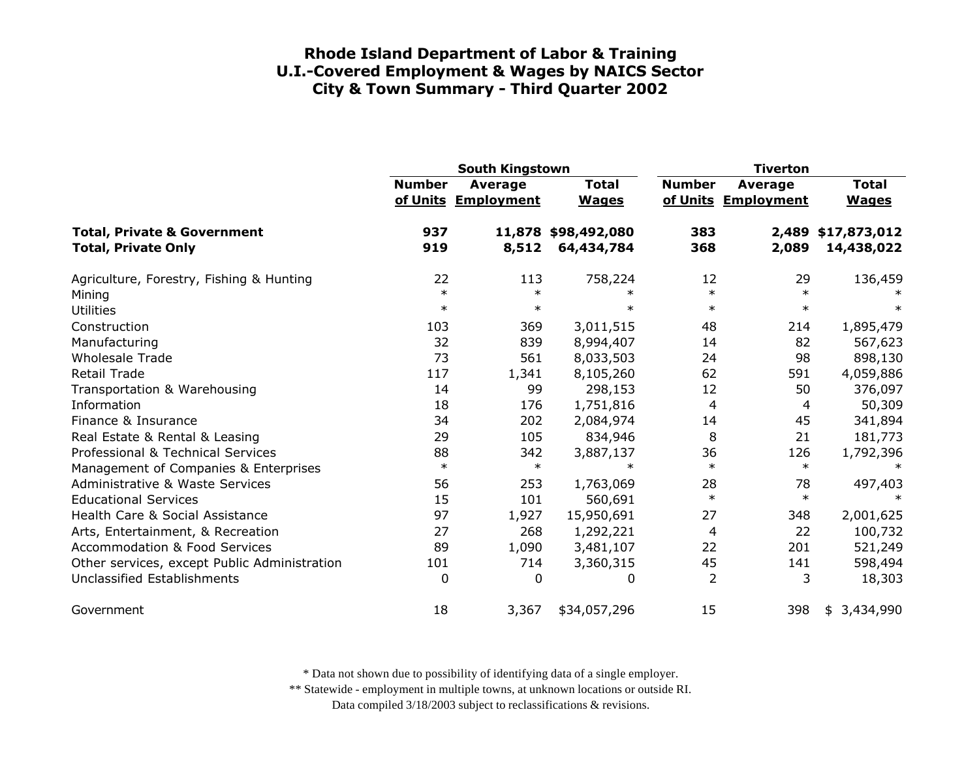|                                                                                                                  | <b>South Kingstown</b> |                                       |                                      | <b>Tiverton</b>        |                                |                                  |
|------------------------------------------------------------------------------------------------------------------|------------------------|---------------------------------------|--------------------------------------|------------------------|--------------------------------|----------------------------------|
|                                                                                                                  | <b>Number</b>          | <b>Average</b><br>of Units Employment | <b>Total</b><br><b>Wages</b>         | <b>Number</b>          | Average<br>of Units Employment | <b>Total</b><br><b>Wages</b>     |
| <b>Total, Private &amp; Government</b><br><b>Total, Private Only</b>                                             | 937<br>919             | 8,512                                 | 11,878 \$98,492,080<br>64,434,784    | 383<br>368             | 2,089                          | 2,489 \$17,873,012<br>14,438,022 |
| Agriculture, Forestry, Fishing & Hunting<br>Mining<br><b>Utilities</b>                                           | 22<br>$\ast$<br>$\ast$ | 113<br>$\ast$<br>$\ast$               | 758,224<br>$\ast$<br>$\ast$          | 12<br>$\ast$<br>$\ast$ | 29<br>$\ast$<br>$\ast$         | 136,459<br>$\ast$                |
| Construction<br>Manufacturing                                                                                    | 103<br>32              | 369<br>839                            | 3,011,515<br>8,994,407               | 48<br>14               | 214<br>82                      | 1,895,479<br>567,623             |
| <b>Wholesale Trade</b><br>Retail Trade                                                                           | 73<br>117              | 561<br>1,341                          | 8,033,503<br>8,105,260               | 24<br>62               | 98<br>591                      | 898,130<br>4,059,886             |
| Transportation & Warehousing<br>Information                                                                      | 14<br>18               | 99<br>176                             | 298,153<br>1,751,816                 | 12<br>4                | 50<br>4                        | 376,097<br>50,309                |
| Finance & Insurance<br>Real Estate & Rental & Leasing                                                            | 34<br>29               | 202<br>105                            | 2,084,974<br>834,946                 | 14<br>8                | 45<br>21                       | 341,894<br>181,773               |
| Professional & Technical Services<br>Management of Companies & Enterprises                                       | 88<br>$\ast$           | 342<br>$\ast$                         | 3,887,137<br>$\ast$                  | 36<br>$\ast$           | 126<br>$\ast$                  | 1,792,396<br>$\ast$              |
| Administrative & Waste Services<br><b>Educational Services</b>                                                   | 56<br>15<br>97         | 253<br>101                            | 1,763,069<br>560,691                 | 28<br>$\ast$<br>27     | 78<br>$\ast$                   | 497,403                          |
| Health Care & Social Assistance<br>Arts, Entertainment, & Recreation<br><b>Accommodation &amp; Food Services</b> | 27<br>89               | 1,927<br>268<br>1,090                 | 15,950,691<br>1,292,221<br>3,481,107 | 4<br>22                | 348<br>22<br>201               | 2,001,625<br>100,732<br>521,249  |
| Other services, except Public Administration<br>Unclassified Establishments                                      | 101<br>0               | 714<br>0                              | 3,360,315<br>0                       | 45<br>$\overline{2}$   | 141<br>3                       | 598,494<br>18,303                |
| Government                                                                                                       | 18                     | 3,367                                 | \$34,057,296                         | 15                     | 398                            | 3,434,990<br>\$                  |

\* Data not shown due to possibility of identifying data of a single employer.

\*\* Statewide - employment in multiple towns, at unknown locations or outside RI.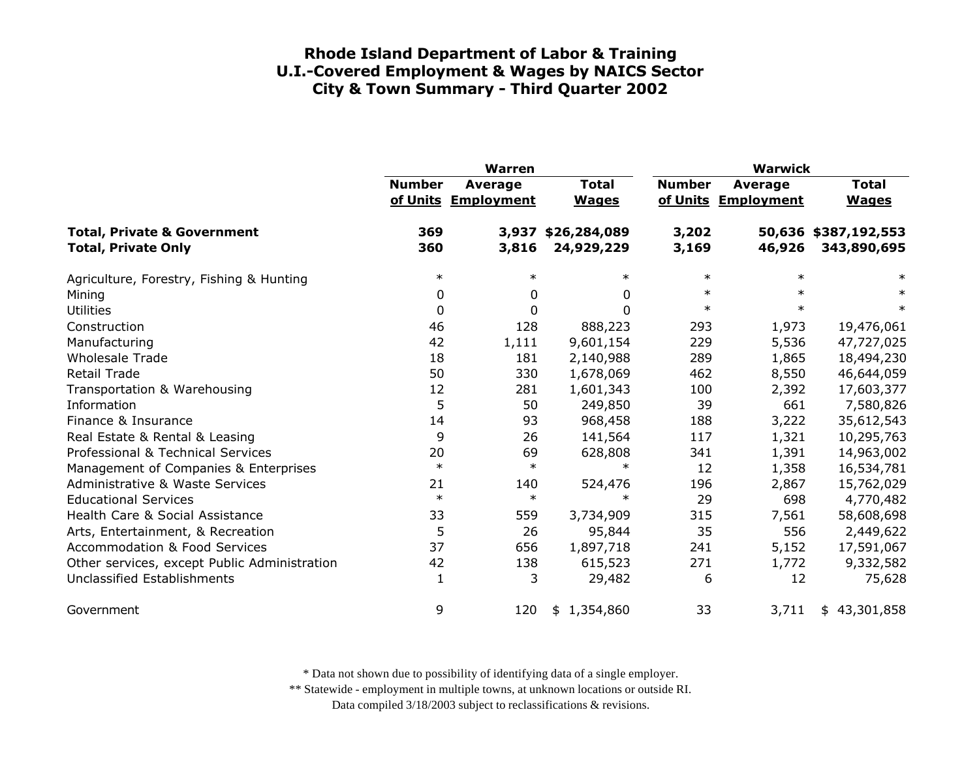|                                                                      | <b>Warren</b> |                                |                              | <b>Warwick</b> |                                |                                     |
|----------------------------------------------------------------------|---------------|--------------------------------|------------------------------|----------------|--------------------------------|-------------------------------------|
|                                                                      | <b>Number</b> | Average<br>of Units Employment | <b>Total</b><br><b>Wages</b> | <b>Number</b>  | Average<br>of Units Employment | <b>Total</b><br><b>Wages</b>        |
| <b>Total, Private &amp; Government</b><br><b>Total, Private Only</b> | 369<br>360    | 3,937<br>3,816                 | \$26,284,089<br>24,929,229   | 3,202<br>3,169 | 46,926                         | 50,636 \$387,192,553<br>343,890,695 |
| Agriculture, Forestry, Fishing & Hunting                             | $\ast$        | $\ast$                         | $\ast$                       | $\ast$         | $\ast$                         | $\ast$                              |
| Mining                                                               | 0             | 0                              | 0                            | $\ast$         | $\ast$                         |                                     |
| <b>Utilities</b>                                                     | 0             | $\mathbf{0}$                   | $\Omega$                     | $\ast$         | $\ast$                         | $\ast$                              |
| Construction                                                         | 46            | 128                            | 888,223                      | 293            | 1,973                          | 19,476,061                          |
| Manufacturing                                                        | 42            | 1,111                          | 9,601,154                    | 229            | 5,536                          | 47,727,025                          |
| <b>Wholesale Trade</b>                                               | 18            | 181                            | 2,140,988                    | 289            | 1,865                          | 18,494,230                          |
| <b>Retail Trade</b>                                                  | 50            | 330                            | 1,678,069                    | 462            | 8,550                          | 46,644,059                          |
| Transportation & Warehousing                                         | 12            | 281                            | 1,601,343                    | 100            | 2,392                          | 17,603,377                          |
| Information                                                          | 5             | 50                             | 249,850                      | 39             | 661                            | 7,580,826                           |
| Finance & Insurance                                                  | 14            | 93                             | 968,458                      | 188            | 3,222                          | 35,612,543                          |
| Real Estate & Rental & Leasing                                       | 9             | 26                             | 141,564                      | 117            | 1,321                          | 10,295,763                          |
| Professional & Technical Services                                    | 20            | 69                             | 628,808                      | 341            | 1,391                          | 14,963,002                          |
| Management of Companies & Enterprises                                | $\ast$        | $\ast$                         | $\ast$                       | 12             | 1,358                          | 16,534,781                          |
| <b>Administrative &amp; Waste Services</b>                           | 21            | 140                            | 524,476                      | 196            | 2,867                          | 15,762,029                          |
| <b>Educational Services</b>                                          | $\ast$        | $\ast$                         | $\ast$                       | 29             | 698                            | 4,770,482                           |
| Health Care & Social Assistance                                      | 33            | 559                            | 3,734,909                    | 315            | 7,561                          | 58,608,698                          |
| Arts, Entertainment, & Recreation                                    | 5             | 26                             | 95,844                       | 35             | 556                            | 2,449,622                           |
| <b>Accommodation &amp; Food Services</b>                             | 37            | 656                            | 1,897,718                    | 241            | 5,152                          | 17,591,067                          |
| Other services, except Public Administration                         | 42            | 138                            | 615,523                      | 271            | 1,772                          | 9,332,582                           |
| Unclassified Establishments                                          | 1             | 3                              | 29,482                       | 6              | 12                             | 75,628                              |
| Government                                                           | 9             | 120                            | 1,354,860<br>\$              | 33             | 3,711                          | 43,301,858<br>\$                    |

\* Data not shown due to possibility of identifying data of a single employer.

\*\* Statewide - employment in multiple towns, at unknown locations or outside RI.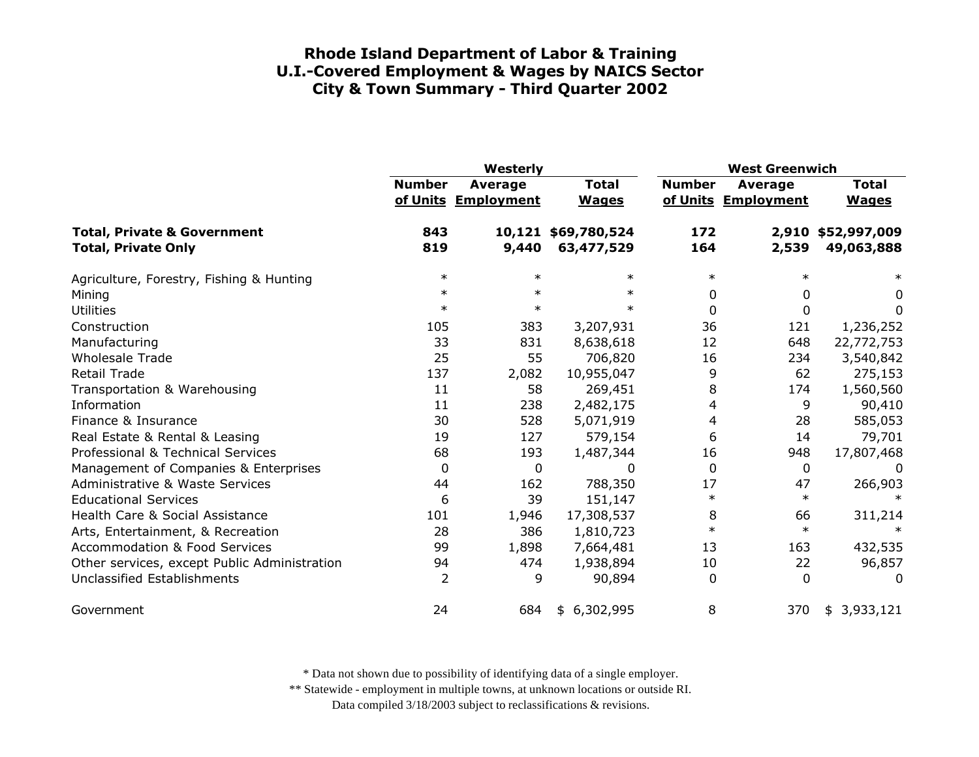|                                                                      | Westerly      |                                |                                   | <b>West Greenwich</b> |                                |                                  |
|----------------------------------------------------------------------|---------------|--------------------------------|-----------------------------------|-----------------------|--------------------------------|----------------------------------|
|                                                                      | <b>Number</b> | Average<br>of Units Employment | <b>Total</b><br><b>Wages</b>      | <b>Number</b>         | Average<br>of Units Employment | <b>Total</b><br><b>Wages</b>     |
| <b>Total, Private &amp; Government</b><br><b>Total, Private Only</b> | 843<br>819    | 9,440                          | 10,121 \$69,780,524<br>63,477,529 | 172<br>164            | 2,539                          | 2,910 \$52,997,009<br>49,063,888 |
| Agriculture, Forestry, Fishing & Hunting                             | $\ast$        | $\ast$                         | $\ast$                            | $\ast$                |                                | $\ast$                           |
| Mining                                                               | $\ast$        | $\ast$                         | $\ast$                            | 0                     | 0                              | 0                                |
| <b>Utilities</b>                                                     | $\ast$        | $\ast$                         | $\ast$                            | 0                     | $\Omega$                       | 0                                |
| Construction                                                         | 105           | 383                            | 3,207,931                         | 36                    | 121                            | 1,236,252                        |
| Manufacturing                                                        | 33            | 831                            | 8,638,618                         | 12                    | 648                            | 22,772,753                       |
| <b>Wholesale Trade</b>                                               | 25            | 55                             | 706,820                           | 16                    | 234                            | 3,540,842                        |
| <b>Retail Trade</b>                                                  | 137           | 2,082                          | 10,955,047                        | 9                     | 62                             | 275,153                          |
| Transportation & Warehousing                                         | 11            | 58                             | 269,451                           | 8                     | 174                            | 1,560,560                        |
| Information                                                          | 11            | 238                            | 2,482,175                         | 4                     | 9                              | 90,410                           |
| Finance & Insurance                                                  | 30            | 528                            | 5,071,919                         | 4                     | 28                             | 585,053                          |
| Real Estate & Rental & Leasing                                       | 19            | 127                            | 579,154                           | 6                     | 14                             | 79,701                           |
| Professional & Technical Services                                    | 68            | 193                            | 1,487,344                         | 16                    | 948                            | 17,807,468                       |
| Management of Companies & Enterprises                                | 0             | $\mathbf{0}$                   | 0                                 | $\Omega$              | $\mathbf{0}$                   | 0                                |
| <b>Administrative &amp; Waste Services</b>                           | 44            | 162                            | 788,350                           | 17                    | 47                             | 266,903                          |
| <b>Educational Services</b>                                          | 6             | 39                             | 151,147                           | $\ast$                | $\ast$                         |                                  |
| Health Care & Social Assistance                                      | 101           | 1,946                          | 17,308,537                        | 8                     | 66                             | 311,214                          |
| Arts, Entertainment, & Recreation                                    | 28            | 386                            | 1,810,723                         | $\ast$                | $\ast$                         |                                  |
| <b>Accommodation &amp; Food Services</b>                             | 99            | 1,898                          | 7,664,481                         | 13                    | 163                            | 432,535                          |
| Other services, except Public Administration                         | 94            | 474                            | 1,938,894                         | 10                    | 22                             | 96,857                           |
| Unclassified Establishments                                          | 2             | 9                              | 90,894                            | 0                     | $\Omega$                       | <sup>0</sup>                     |
| Government                                                           | 24            | 684                            | 6,302,995<br>\$                   | 8                     | 370                            | 3,933,121<br>\$                  |

\* Data not shown due to possibility of identifying data of a single employer.

\*\* Statewide - employment in multiple towns, at unknown locations or outside RI.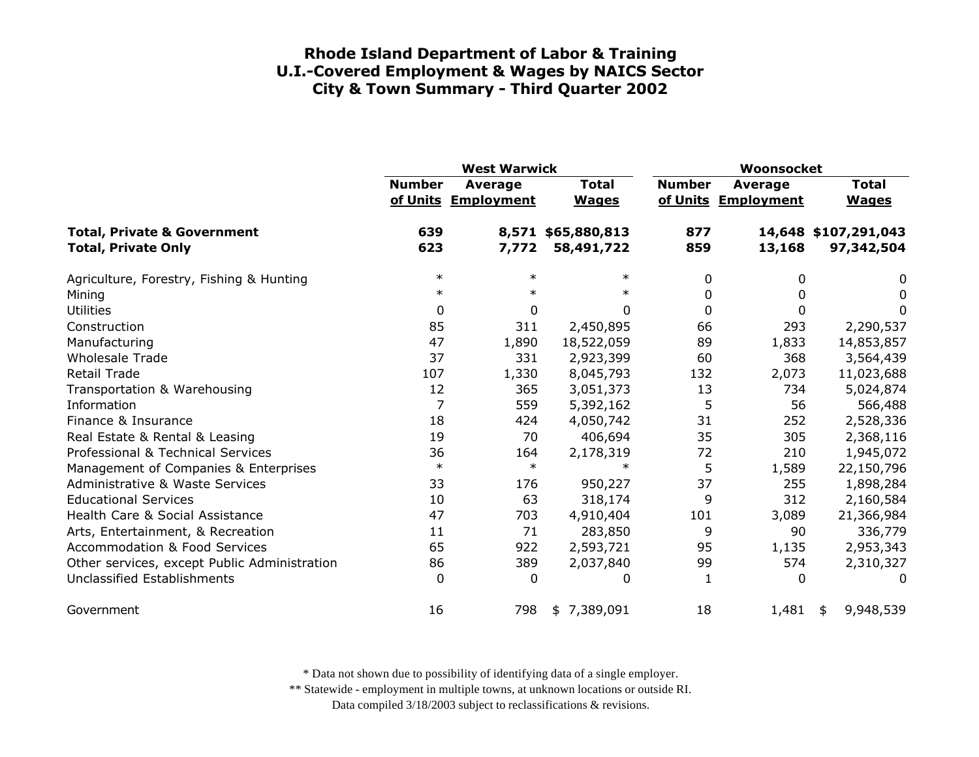|                                                                      | <b>West Warwick</b> |                                       |                              | Woonsocket    |                                       |                                    |
|----------------------------------------------------------------------|---------------------|---------------------------------------|------------------------------|---------------|---------------------------------------|------------------------------------|
|                                                                      | <b>Number</b>       | <b>Average</b><br>of Units Employment | <b>Total</b><br><b>Wages</b> | <b>Number</b> | <b>Average</b><br>of Units Employment | <b>Total</b><br><b>Wages</b>       |
| <b>Total, Private &amp; Government</b><br><b>Total, Private Only</b> | 639<br>623          | 8,571<br>7,772                        | \$65,880,813<br>58,491,722   | 877<br>859    | 13,168                                | 14,648 \$107,291,043<br>97,342,504 |
| Agriculture, Forestry, Fishing & Hunting                             | $\ast$              | $\ast$                                | $\ast$                       | 0             | 0                                     | 0                                  |
| Mining                                                               | $\ast$              | $\ast$                                | $\ast$                       | 0             | 0                                     | 0                                  |
| <b>Utilities</b>                                                     | 0                   | 0                                     | 0                            | $\Omega$      | 0                                     | 0                                  |
| Construction                                                         | 85                  | 311                                   | 2,450,895                    | 66            | 293                                   | 2,290,537                          |
| Manufacturing                                                        | 47                  | 1,890                                 | 18,522,059                   | 89            | 1,833                                 | 14,853,857                         |
| <b>Wholesale Trade</b>                                               | 37                  | 331                                   | 2,923,399                    | 60            | 368                                   | 3,564,439                          |
| <b>Retail Trade</b>                                                  | 107                 | 1,330                                 | 8,045,793                    | 132           | 2,073                                 | 11,023,688                         |
| Transportation & Warehousing                                         | 12                  | 365                                   | 3,051,373                    | 13            | 734                                   | 5,024,874                          |
| Information                                                          | 7                   | 559                                   | 5,392,162                    | 5             | 56                                    | 566,488                            |
| Finance & Insurance                                                  | 18                  | 424                                   | 4,050,742                    | 31            | 252                                   | 2,528,336                          |
| Real Estate & Rental & Leasing                                       | 19                  | 70                                    | 406,694                      | 35            | 305                                   | 2,368,116                          |
| Professional & Technical Services                                    | 36                  | 164                                   | 2,178,319                    | 72            | 210                                   | 1,945,072                          |
| Management of Companies & Enterprises                                | $\ast$              | $\ast$                                | $\ast$                       | 5             | 1,589                                 | 22,150,796                         |
| <b>Administrative &amp; Waste Services</b>                           | 33                  | 176                                   | 950,227                      | 37            | 255                                   | 1,898,284                          |
| <b>Educational Services</b>                                          | 10                  | 63                                    | 318,174                      | 9             | 312                                   | 2,160,584                          |
| Health Care & Social Assistance                                      | 47                  | 703                                   | 4,910,404                    | 101           | 3,089                                 | 21,366,984                         |
| Arts, Entertainment, & Recreation                                    | 11                  | 71                                    | 283,850                      | 9             | 90                                    | 336,779                            |
| <b>Accommodation &amp; Food Services</b>                             | 65                  | 922                                   | 2,593,721                    | 95            | 1,135                                 | 2,953,343                          |
| Other services, except Public Administration                         | 86                  | 389                                   | 2,037,840                    | 99            | 574                                   | 2,310,327                          |
| Unclassified Establishments                                          | 0                   | 0                                     | 0                            | 1             | 0                                     | 0                                  |
| Government                                                           | 16                  | 798                                   | \$7,389,091                  | 18            | 1,481                                 | 9,948,539<br>\$                    |

\* Data not shown due to possibility of identifying data of a single employer.

\*\* Statewide - employment in multiple towns, at unknown locations or outside RI.